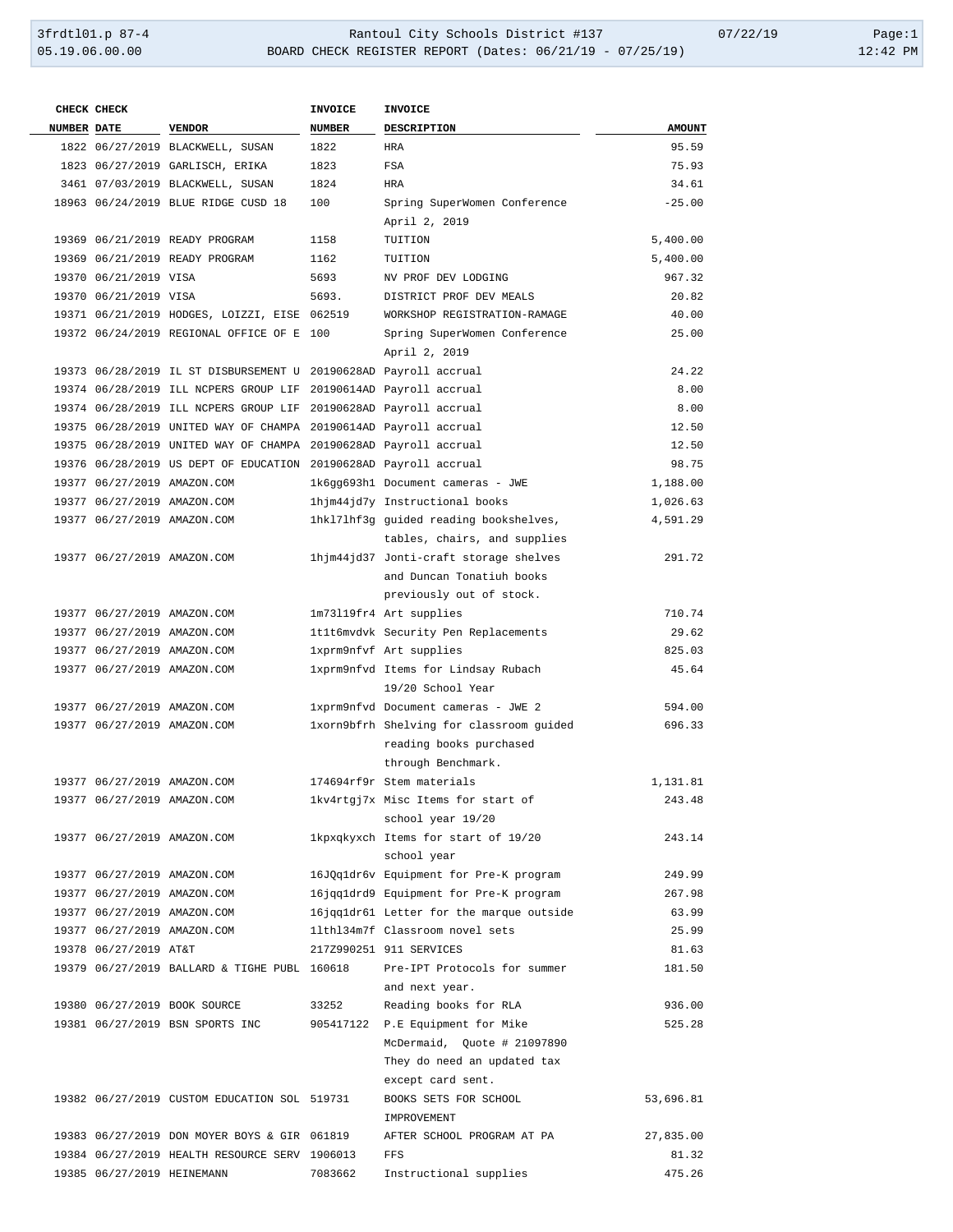| CHECK CHECK                |                                                                  | <b>INVOICE</b> | <b>INVOICE</b>                                        |               |
|----------------------------|------------------------------------------------------------------|----------------|-------------------------------------------------------|---------------|
| <b>NUMBER DATE</b>         | VENDOR                                                           | NUMBER         | DESCRIPTION                                           | <b>AMOUNT</b> |
|                            | 1822 06/27/2019 BLACKWELL, SUSAN                                 | 1822           | HRA                                                   | 95.59         |
|                            | 1823 06/27/2019 GARLISCH, ERIKA                                  | 1823           | FSA                                                   | 75.93         |
|                            | 3461 07/03/2019 BLACKWELL, SUSAN                                 | 1824           | HRA                                                   | 34.61         |
|                            | 18963 06/24/2019 BLUE RIDGE CUSD 18                              | 100            | Spring SuperWomen Conference                          | $-25.00$      |
|                            |                                                                  |                | April 2, 2019                                         |               |
|                            | 19369 06/21/2019 READY PROGRAM                                   | 1158           | TUITION                                               | 5,400.00      |
|                            | 19369 06/21/2019 READY PROGRAM                                   | 1162           | TUITION                                               | 5,400.00      |
| 19370 06/21/2019 VISA      |                                                                  | 5693           | NV PROF DEV LODGING                                   | 967.32        |
| 19370 06/21/2019 VISA      |                                                                  | 5693.          | DISTRICT PROF DEV MEALS                               | 20.82         |
|                            | 19371 06/21/2019 HODGES, LOIZZI, EISE 062519                     |                | WORKSHOP REGISTRATION-RAMAGE                          | 40.00         |
|                            | 19372 06/24/2019 REGIONAL OFFICE OF E 100                        |                | Spring SuperWomen Conference                          | 25.00         |
|                            |                                                                  |                | April 2, 2019                                         |               |
|                            | 19373 06/28/2019 IL ST DISBURSEMENT U 20190628AD Payroll accrual |                |                                                       | 24.22         |
|                            | 19374 06/28/2019 ILL NCPERS GROUP LIF 20190614AD Payroll accrual |                |                                                       | 8.00          |
|                            | 19374 06/28/2019 ILL NCPERS GROUP LIF 20190628AD Payroll accrual |                |                                                       | 8.00          |
|                            | 19375 06/28/2019 UNITED WAY OF CHAMPA 20190614AD Payroll accrual |                |                                                       | 12.50         |
|                            | 19375 06/28/2019 UNITED WAY OF CHAMPA 20190628AD Payroll accrual |                |                                                       | 12.50         |
|                            | 19376 06/28/2019 US DEPT OF EDUCATION 20190628AD Payroll accrual |                |                                                       | 98.75         |
|                            | 19377 06/27/2019 AMAZON.COM                                      |                | 1k6gg693h1 Document cameras - JWE                     | 1,188.00      |
|                            | 19377 06/27/2019 AMAZON.COM                                      |                | 1hjm44jd7y Instructional books                        | 1,026.63      |
|                            | 19377 06/27/2019 AMAZON.COM                                      |                | 1hk171hf3g guided reading bookshelves,                | 4,591.29      |
|                            |                                                                  |                | tables, chairs, and supplies                          |               |
|                            | 19377 06/27/2019 AMAZON.COM                                      |                | 1hjm44jd37 Jonti-craft storage shelves                | 291.72        |
|                            |                                                                  |                | and Duncan Tonatiuh books<br>previously out of stock. |               |
|                            | 19377 06/27/2019 AMAZON.COM                                      |                | 1m73119fr4 Art supplies                               | 710.74        |
|                            | 19377 06/27/2019 AMAZON.COM                                      |                | 1t1t6mvdvk Security Pen Replacements                  | 29.62         |
|                            | 19377 06/27/2019 AMAZON.COM                                      |                | 1xprm9nfvf Art supplies                               | 825.03        |
|                            | 19377 06/27/2019 AMAZON.COM                                      |                | 1xprm9nfvd Items for Lindsay Rubach                   | 45.64         |
|                            |                                                                  |                | 19/20 School Year                                     |               |
|                            | 19377 06/27/2019 AMAZON.COM                                      |                | 1xprm9nfvd Document cameras - JWE 2                   | 594.00        |
|                            | 19377 06/27/2019 AMAZON.COM                                      |                | 1xorn9bfrh Shelving for classroom guided              | 696.33        |
|                            |                                                                  |                | reading books purchased                               |               |
|                            |                                                                  |                | through Benchmark.                                    |               |
|                            | 19377 06/27/2019 AMAZON.COM                                      |                | 174694rf9r Stem materials                             | 1,131.81      |
|                            | 19377 06/27/2019 AMAZON.COM                                      |                | lkv4rtgj7x Misc Items for start of                    | 243.48        |
|                            |                                                                  |                | school year 19/20                                     |               |
|                            | 19377 06/27/2019 AMAZON.COM                                      |                | 1kpxqkyxch Items for start of 19/20                   | 243.14        |
|                            |                                                                  |                | school year                                           |               |
|                            | 19377 06/27/2019 AMAZON.COM                                      |                | 16J0q1dr6v Equipment for Pre-K program                | 249.99        |
|                            | 19377 06/27/2019 AMAZON.COM                                      |                | 16jqq1drd9 Equipment for Pre-K program                | 267.98        |
|                            | 19377 06/27/2019 AMAZON.COM                                      |                | 16jqqldr61 Letter for the marque outside              | 63.99         |
|                            | 19377 06/27/2019 AMAZON.COM                                      |                | 11th134m7f Classroom novel sets                       | 25.99         |
| 19378 06/27/2019 AT&T      |                                                                  |                | 217Z990251 911 SERVICES                               | 81.63         |
|                            | 19379 06/27/2019 BALLARD & TIGHE PUBL 160618                     |                | Pre-IPT Protocols for summer                          | 181.50        |
|                            |                                                                  |                | and next year.                                        |               |
|                            | 19380 06/27/2019 BOOK SOURCE                                     | 33252          | Reading books for RLA                                 | 936.00        |
|                            | 19381 06/27/2019 BSN SPORTS INC                                  |                | 905417122 P.E Equipment for Mike                      | 525.28        |
|                            |                                                                  |                | McDermaid, Quote # 21097890                           |               |
|                            |                                                                  |                | They do need an updated tax                           |               |
|                            |                                                                  |                | except card sent.                                     |               |
|                            | 19382 06/27/2019 CUSTOM EDUCATION SOL 519731                     |                | BOOKS SETS FOR SCHOOL                                 | 53,696.81     |
|                            | 19383 06/27/2019 DON MOYER BOYS & GIR 061819                     |                | IMPROVEMENT<br>AFTER SCHOOL PROGRAM AT PA             | 27,835.00     |
|                            | 19384 06/27/2019 HEALTH RESOURCE SERV 1906013                    |                | FFS                                                   | 81.32         |
| 19385 06/27/2019 HEINEMANN |                                                                  | 7083662        | Instructional supplies                                | 475.26        |
|                            |                                                                  |                |                                                       |               |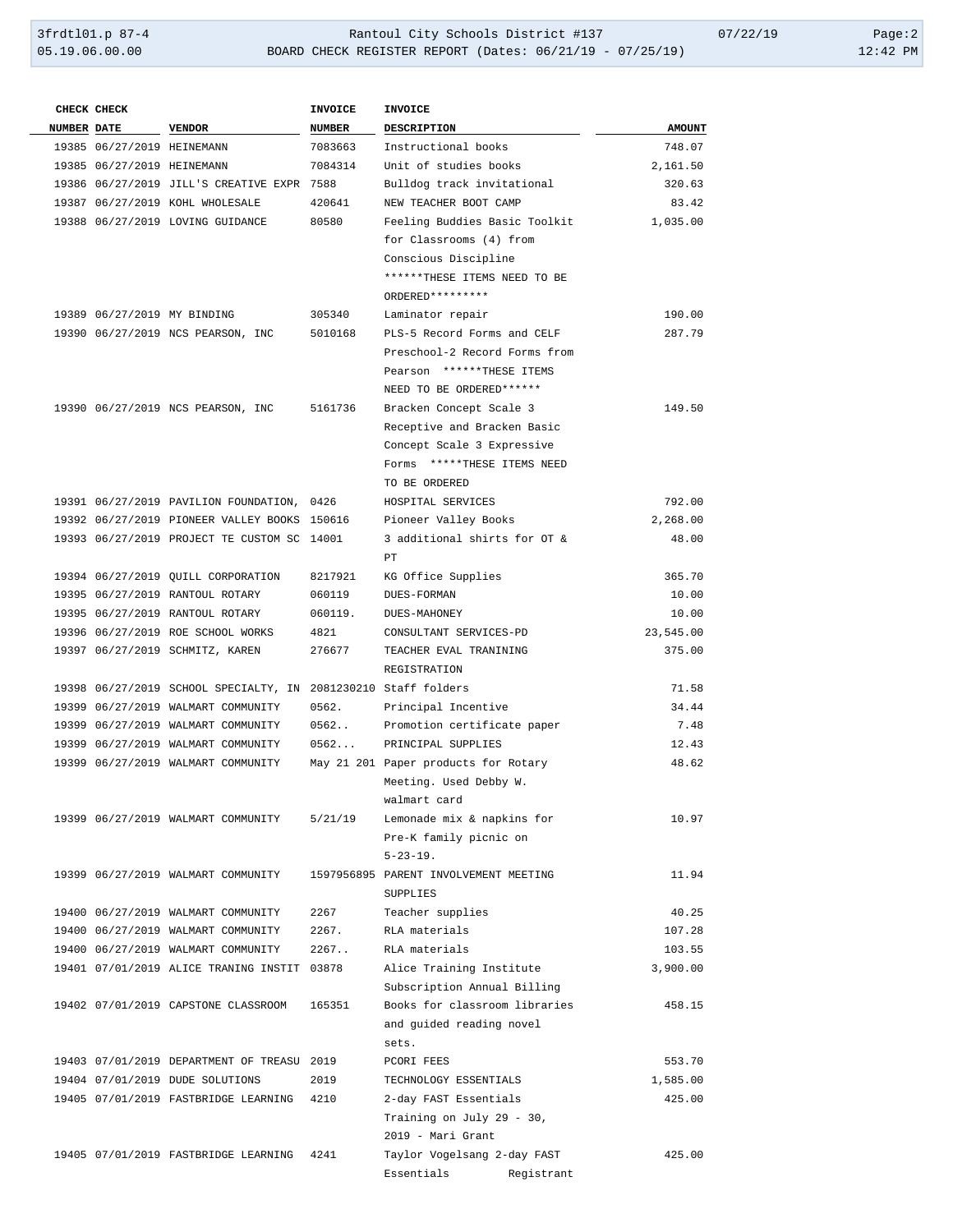| CHECK CHECK                |                                                                                                      | <b>INVOICE</b> | <b>INVOICE</b>                        |               |
|----------------------------|------------------------------------------------------------------------------------------------------|----------------|---------------------------------------|---------------|
| <b>NUMBER DATE</b>         | <b>VENDOR</b>                                                                                        | NUMBER         | DESCRIPTION                           | <b>AMOUNT</b> |
| 19385 06/27/2019 HEINEMANN |                                                                                                      | 7083663        | Instructional books                   | 748.07        |
| 19385 06/27/2019 HEINEMANN |                                                                                                      | 7084314        | Unit of studies books                 | 2,161.50      |
|                            | 19386 06/27/2019 JILL'S CREATIVE EXPR 7588                                                           |                | Bulldog track invitational            | 320.63        |
|                            | 19387 06/27/2019 KOHL WHOLESALE                                                                      | 420641         | NEW TEACHER BOOT CAMP                 | 83.42         |
|                            | 19388 06/27/2019 LOVING GUIDANCE                                                                     | 80580          | Feeling Buddies Basic Toolkit         | 1,035.00      |
|                            |                                                                                                      |                | for Classrooms (4) from               |               |
|                            |                                                                                                      |                | Conscious Discipline                  |               |
|                            |                                                                                                      |                | ******THESE ITEMS NEED TO BE          |               |
|                            |                                                                                                      |                | ORDERED*********                      |               |
|                            | 19389 06/27/2019 MY BINDING                                                                          | 305340         | Laminator repair                      | 190.00        |
|                            | 19390 06/27/2019 NCS PEARSON, INC                                                                    | 5010168        | PLS-5 Record Forms and CELF           | 287.79        |
|                            |                                                                                                      |                | Preschool-2 Record Forms from         |               |
|                            |                                                                                                      |                | Pearson ******THESE ITEMS             |               |
|                            |                                                                                                      |                | NEED TO BE ORDERED ******             |               |
|                            | 19390 06/27/2019 NCS PEARSON, INC                                                                    | 5161736        | Bracken Concept Scale 3               | 149.50        |
|                            |                                                                                                      |                | Receptive and Bracken Basic           |               |
|                            |                                                                                                      |                | Concept Scale 3 Expressive            |               |
|                            |                                                                                                      |                | Forms *****THESE ITEMS NEED           |               |
|                            |                                                                                                      |                | TO BE ORDERED                         |               |
|                            | 19391 06/27/2019 PAVILION FOUNDATION, 0426                                                           |                | HOSPITAL SERVICES                     | 792.00        |
|                            | 19392 06/27/2019 PIONEER VALLEY BOOKS 150616                                                         |                | Pioneer Valley Books                  | 2,268.00      |
|                            | 19393 06/27/2019 PROJECT TE CUSTOM SC 14001                                                          |                | 3 additional shirts for OT &          | 48.00         |
|                            |                                                                                                      |                | PT.                                   |               |
|                            | 19394 06/27/2019 QUILL CORPORATION                                                                   | 8217921        | KG Office Supplies                    | 365.70        |
|                            | 19395 06/27/2019 RANTOUL ROTARY                                                                      | 060119         | DUES-FORMAN                           | 10.00         |
|                            | 19395 06/27/2019 RANTOUL ROTARY                                                                      | 060119.        | <b>DUES-MAHONEY</b>                   | 10.00         |
|                            | 19396 06/27/2019 ROE SCHOOL WORKS                                                                    | 4821           | CONSULTANT SERVICES-PD                | 23,545.00     |
|                            | 19397 06/27/2019 SCHMITZ, KAREN                                                                      | 276677         | TEACHER EVAL TRANINING                | 375.00        |
|                            |                                                                                                      |                | REGISTRATION                          | 71.58         |
|                            | 19398 06/27/2019 SCHOOL SPECIALTY, IN 2081230210 Staff folders<br>19399 06/27/2019 WALMART COMMUNITY | 0562.          | Principal Incentive                   | 34.44         |
|                            | 19399 06/27/2019 WALMART COMMUNITY                                                                   | 0562           | Promotion certificate paper           | 7.48          |
|                            | 19399 06/27/2019 WALMART COMMUNITY                                                                   | 0562           | PRINCIPAL SUPPLIES                    | 12.43         |
|                            | 19399 06/27/2019 WALMART COMMUNITY                                                                   |                | May 21 201 Paper products for Rotary  | 48.62         |
|                            |                                                                                                      |                | Meeting. Used Debby W.                |               |
|                            |                                                                                                      |                | walmart card                          |               |
|                            | 19399 06/27/2019 WALMART COMMUNITY                                                                   | 5/21/19        | Lemonade mix & napkins for            | 10.97         |
|                            |                                                                                                      |                | Pre-K family picnic on                |               |
|                            |                                                                                                      |                | $5 - 23 - 19$ .                       |               |
|                            | 19399 06/27/2019 WALMART COMMUNITY                                                                   |                | 1597956895 PARENT INVOLVEMENT MEETING | 11.94         |
|                            |                                                                                                      |                | SUPPLIES                              |               |
|                            | 19400 06/27/2019 WALMART COMMUNITY                                                                   | 2267           | Teacher supplies                      | 40.25         |
|                            | 19400 06/27/2019 WALMART COMMUNITY                                                                   | 2267.          | RLA materials                         | 107.28        |
|                            | 19400 06/27/2019 WALMART COMMUNITY                                                                   | 2267.          | RLA materials                         | 103.55        |
|                            | 19401 07/01/2019 ALICE TRANING INSTIT 03878                                                          |                | Alice Training Institute              | 3,900.00      |
|                            |                                                                                                      |                | Subscription Annual Billing           |               |
|                            | 19402 07/01/2019 CAPSTONE CLASSROOM                                                                  | 165351         | Books for classroom libraries         | 458.15        |
|                            |                                                                                                      |                | and guided reading novel              |               |
|                            |                                                                                                      |                | sets.                                 |               |
|                            | 19403 07/01/2019 DEPARTMENT OF TREASU 2019                                                           |                | PCORI FEES                            | 553.70        |
|                            | 19404 07/01/2019 DUDE SOLUTIONS                                                                      | 2019           | TECHNOLOGY ESSENTIALS                 | 1,585.00      |
|                            | 19405 07/01/2019 FASTBRIDGE LEARNING 4210                                                            |                | 2-day FAST Essentials                 | 425.00        |
|                            |                                                                                                      |                | Training on July 29 - 30,             |               |
|                            |                                                                                                      |                | 2019 - Mari Grant                     |               |
|                            | 19405 07/01/2019 FASTBRIDGE LEARNING                                                                 | 4241           | Taylor Vogelsang 2-day FAST           | 425.00        |
|                            |                                                                                                      |                | Essentials<br>Registrant              |               |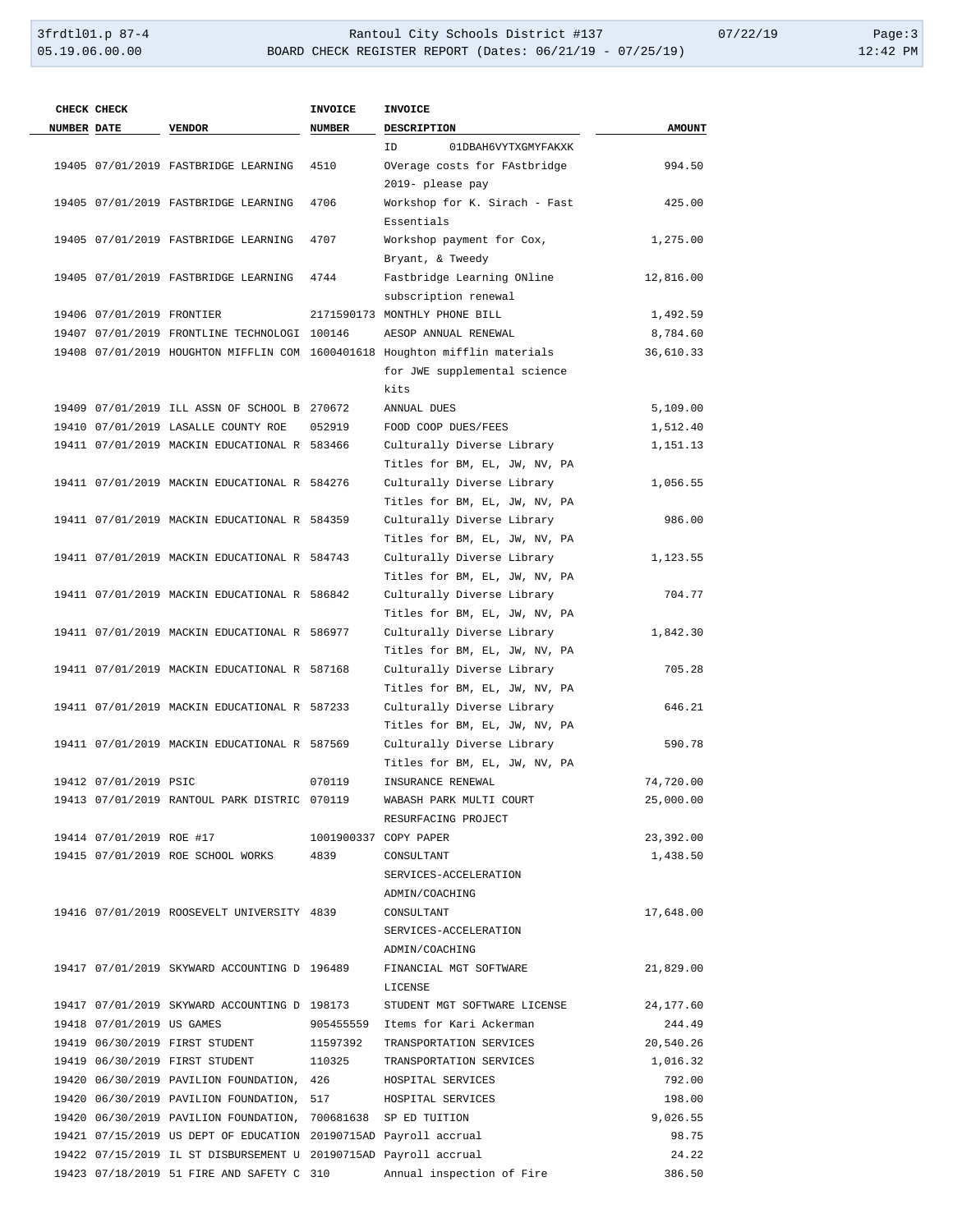|                    | CHECK CHECK               |                                                                                                                              | <b>INVOICE</b> | <b>INVOICE</b>                                                              |                      |
|--------------------|---------------------------|------------------------------------------------------------------------------------------------------------------------------|----------------|-----------------------------------------------------------------------------|----------------------|
| <b>NUMBER DATE</b> |                           | <b>VENDOR</b>                                                                                                                | <b>NUMBER</b>  | <b>DESCRIPTION</b>                                                          | <b>AMOUNT</b>        |
|                    |                           |                                                                                                                              |                | 01DBAH6VYTXGMYFAKXK<br>ID                                                   |                      |
|                    |                           | 19405 07/01/2019 FASTBRIDGE LEARNING                                                                                         | 4510           | OVerage costs for FAstbridge                                                | 994.50               |
|                    |                           |                                                                                                                              |                | 2019- please pay                                                            |                      |
|                    |                           | 19405 07/01/2019 FASTBRIDGE LEARNING                                                                                         | 4706           | Workshop for K. Sirach - Fast                                               | 425.00               |
|                    |                           |                                                                                                                              |                | Essentials                                                                  |                      |
|                    |                           | 19405 07/01/2019 FASTBRIDGE LEARNING                                                                                         | 4707           | Workshop payment for Cox,                                                   | 1,275.00             |
|                    |                           |                                                                                                                              |                | Bryant, & Tweedy                                                            |                      |
|                    |                           | 19405 07/01/2019 FASTBRIDGE LEARNING                                                                                         | 4744           | Fastbridge Learning ONline                                                  | 12,816.00            |
|                    |                           |                                                                                                                              |                | subscription renewal                                                        |                      |
|                    | 19406 07/01/2019 FRONTIER |                                                                                                                              |                | 2171590173 MONTHLY PHONE BILL                                               | 1,492.59             |
|                    |                           | 19407 07/01/2019 FRONTLINE TECHNOLOGI 100146                                                                                 |                | AESOP ANNUAL RENEWAL                                                        | 8,784.60             |
|                    |                           |                                                                                                                              |                | 19408 07/01/2019 HOUGHTON MIFFLIN COM 1600401618 Houghton mifflin materials | 36,610.33            |
|                    |                           |                                                                                                                              |                | for JWE supplemental science                                                |                      |
|                    |                           |                                                                                                                              |                | kits                                                                        |                      |
|                    |                           | 19409 07/01/2019 ILL ASSN OF SCHOOL B 270672                                                                                 |                | ANNUAL DUES                                                                 | 5,109.00             |
|                    |                           | 19410 07/01/2019 LASALLE COUNTY ROE                                                                                          | 052919         | FOOD COOP DUES/FEES                                                         | 1,512.40             |
|                    |                           | 19411 07/01/2019 MACKIN EDUCATIONAL R 583466                                                                                 |                | Culturally Diverse Library                                                  | 1,151.13             |
|                    |                           |                                                                                                                              |                | Titles for BM, EL, JW, NV, PA                                               |                      |
|                    |                           | 19411 07/01/2019 MACKIN EDUCATIONAL R 584276                                                                                 |                | Culturally Diverse Library                                                  | 1,056.55             |
|                    |                           |                                                                                                                              |                | Titles for BM, EL, JW, NV, PA                                               |                      |
|                    |                           | 19411 07/01/2019 MACKIN EDUCATIONAL R 584359                                                                                 |                | Culturally Diverse Library                                                  | 986.00               |
|                    |                           |                                                                                                                              |                | Titles for BM, EL, JW, NV, PA                                               |                      |
|                    |                           | 19411 07/01/2019 MACKIN EDUCATIONAL R 584743                                                                                 |                | Culturally Diverse Library                                                  | 1,123.55             |
|                    |                           |                                                                                                                              |                | Titles for BM, EL, JW, NV, PA                                               |                      |
|                    |                           | 19411 07/01/2019 MACKIN EDUCATIONAL R 586842                                                                                 |                | Culturally Diverse Library                                                  | 704.77               |
|                    |                           |                                                                                                                              |                | Titles for BM, EL, JW, NV, PA                                               |                      |
|                    |                           | 19411 07/01/2019 MACKIN EDUCATIONAL R 586977                                                                                 |                | Culturally Diverse Library                                                  | 1,842.30             |
|                    |                           |                                                                                                                              |                | Titles for BM, EL, JW, NV, PA                                               |                      |
|                    |                           | 19411 07/01/2019 MACKIN EDUCATIONAL R 587168                                                                                 |                | Culturally Diverse Library                                                  | 705.28               |
|                    |                           |                                                                                                                              |                | Titles for BM, EL, JW, NV, PA                                               |                      |
|                    |                           | 19411 07/01/2019 MACKIN EDUCATIONAL R 587233                                                                                 |                | Culturally Diverse Library                                                  | 646.21               |
|                    |                           |                                                                                                                              |                | Titles for BM, EL, JW, NV, PA                                               |                      |
|                    |                           | 19411 07/01/2019 MACKIN EDUCATIONAL R 587569                                                                                 |                | Culturally Diverse Library                                                  | 590.78               |
|                    |                           |                                                                                                                              |                | Titles for BM, EL, JW, NV, PA                                               |                      |
|                    | 19412 07/01/2019 PSIC     |                                                                                                                              | 070119         | INSURANCE RENEWAL                                                           | 74,720.00            |
|                    |                           | 19413 07/01/2019 RANTOUL PARK DISTRIC 070119                                                                                 |                | WABASH PARK MULTI COURT                                                     | 25,000.00            |
|                    |                           |                                                                                                                              |                | RESURFACING PROJECT                                                         |                      |
|                    |                           | 19414 07/01/2019 ROE #17 1001900337 COPY PAPER                                                                               |                |                                                                             | 23,392.00            |
|                    |                           | 19415 07/01/2019 ROE SCHOOL WORKS 4839                                                                                       |                | CONSULTANT                                                                  | 1,438.50             |
|                    |                           |                                                                                                                              |                | SERVICES-ACCELERATION                                                       |                      |
|                    |                           |                                                                                                                              |                | ADMIN/COACHING                                                              |                      |
|                    |                           | 19416 07/01/2019 ROOSEVELT UNIVERSITY 4839                                                                                   |                | CONSULTANT                                                                  | 17,648.00            |
|                    |                           |                                                                                                                              |                | SERVICES-ACCELERATION                                                       |                      |
|                    |                           |                                                                                                                              |                | ADMIN/COACHING                                                              |                      |
|                    |                           |                                                                                                                              |                | 19417 07/01/2019 SKYWARD ACCOUNTING D 196489 FINANCIAL MGT SOFTWARE         | 21,829.00            |
|                    |                           | 19417 07/01/2019 SKYWARD ACCOUNTING D 198173                                                                                 |                | LICENSE                                                                     |                      |
|                    | 19418 07/01/2019 US GAMES |                                                                                                                              |                | STUDENT MGT SOFTWARE LICENSE<br>905455559 Items for Kari Ackerman           | 24, 177.60<br>244.49 |
|                    |                           | 19419 06/30/2019 FIRST STUDENT 11597392                                                                                      |                | TRANSPORTATION SERVICES                                                     | 20,540.26            |
|                    |                           |                                                                                                                              |                | TRANSPORTATION SERVICES                                                     | 1,016.32             |
|                    |                           | 19419 06/30/2019 FIRST STUDENT 110325                                                                                        |                |                                                                             | 792.00               |
|                    |                           | 19420 06/30/2019 PAVILION FOUNDATION, 426 HOSPITAL SERVICES                                                                  |                |                                                                             | 198.00               |
|                    |                           | 19420 06/30/2019 PAVILION FOUNDATION, 517 HOSPITAL SERVICES<br>19420 06/30/2019 PAVILION FOUNDATION, 700681638 SP ED TUITION |                |                                                                             | 9,026.55             |
|                    |                           | 19421 07/15/2019 US DEPT OF EDUCATION 20190715AD Payroll accrual                                                             |                |                                                                             | 98.75                |
|                    |                           | 19422 07/15/2019 IL ST DISBURSEMENT U 20190715AD Payroll accrual                                                             |                |                                                                             | 24.22                |
|                    |                           |                                                                                                                              |                | 19423 07/18/2019 51 FIRE AND SAFETY C 310 Annual inspection of Fire         | 386.50               |
|                    |                           |                                                                                                                              |                |                                                                             |                      |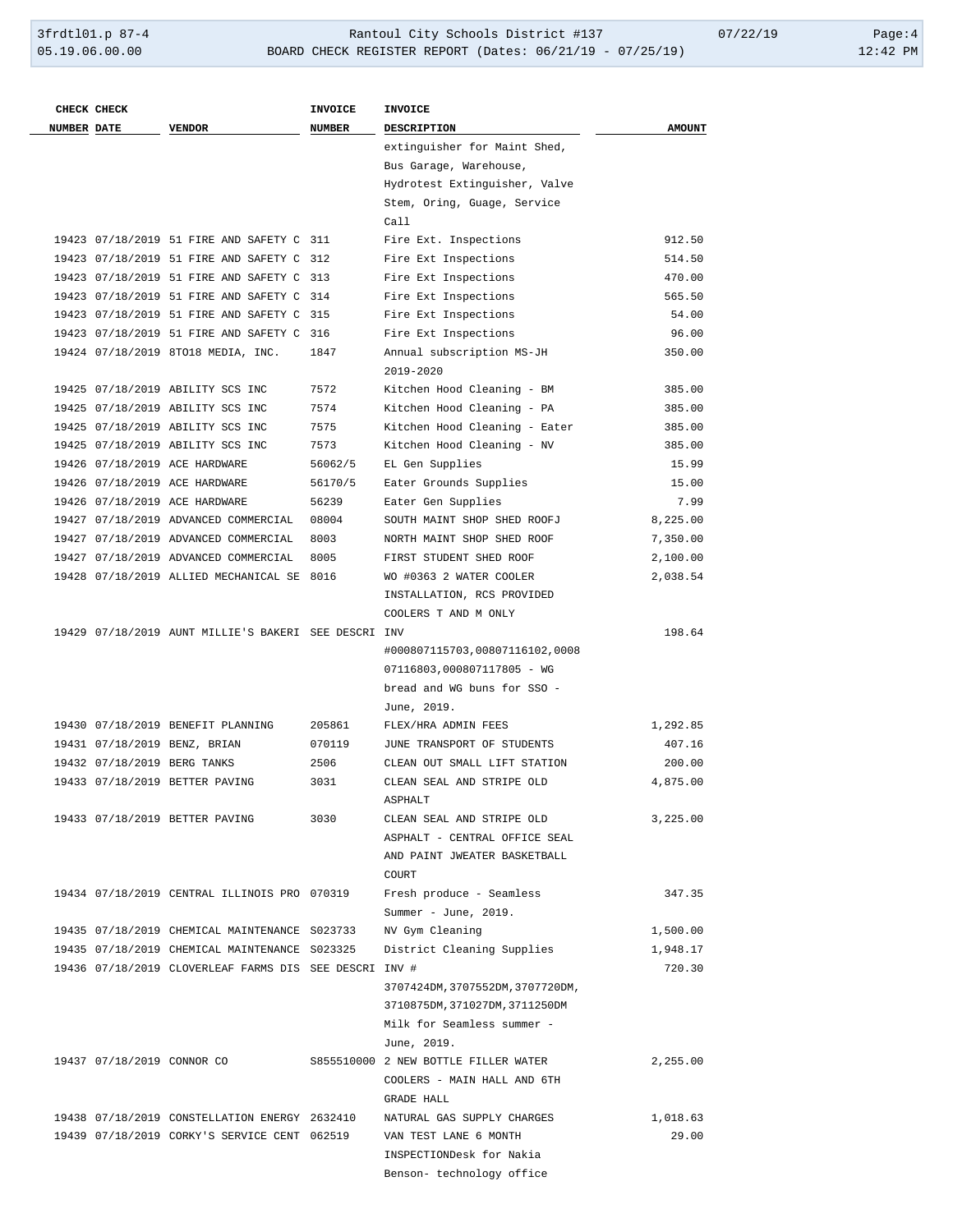|                    | CHECK CHECK |                                                        | INVOICE       | <b>INVOICE</b>                                          |               |
|--------------------|-------------|--------------------------------------------------------|---------------|---------------------------------------------------------|---------------|
| <b>NUMBER DATE</b> |             | <b>VENDOR</b>                                          | <b>NUMBER</b> | <b>DESCRIPTION</b>                                      | <b>AMOUNT</b> |
|                    |             |                                                        |               | extinguisher for Maint Shed,                            |               |
|                    |             |                                                        |               | Bus Garage, Warehouse,<br>Hydrotest Extinguisher, Valve |               |
|                    |             |                                                        |               | Stem, Oring, Guage, Service                             |               |
|                    |             |                                                        |               | Call                                                    |               |
|                    |             | 19423 07/18/2019 51 FIRE AND SAFETY C 311              |               | Fire Ext. Inspections                                   | 912.50        |
|                    |             | 19423 07/18/2019 51 FIRE AND SAFETY C 312              |               | Fire Ext Inspections                                    | 514.50        |
|                    |             | 19423 07/18/2019 51 FIRE AND SAFETY C 313              |               | Fire Ext Inspections                                    | 470.00        |
|                    |             | 19423 07/18/2019 51 FIRE AND SAFETY C 314              |               | Fire Ext Inspections                                    | 565.50        |
|                    |             | 19423 07/18/2019 51 FIRE AND SAFETY C 315              |               | Fire Ext Inspections                                    | 54.00         |
|                    |             | 19423 07/18/2019 51 FIRE AND SAFETY C 316              |               | Fire Ext Inspections                                    | 96.00         |
|                    |             | 19424 07/18/2019 8TO18 MEDIA, INC.                     | 1847          | Annual subscription MS-JH<br>2019-2020                  | 350.00        |
|                    |             | 19425 07/18/2019 ABILITY SCS INC                       | 7572          | Kitchen Hood Cleaning - BM                              | 385.00        |
|                    |             | 19425 07/18/2019 ABILITY SCS INC                       | 7574          | Kitchen Hood Cleaning - PA                              | 385.00        |
|                    |             | 19425 07/18/2019 ABILITY SCS INC                       | 7575          | Kitchen Hood Cleaning - Eater                           | 385.00        |
|                    |             | 19425 07/18/2019 ABILITY SCS INC                       | 7573          | Kitchen Hood Cleaning - NV                              | 385.00        |
|                    |             | 19426 07/18/2019 ACE HARDWARE                          | 56062/5       | EL Gen Supplies                                         | 15.99         |
|                    |             | 19426 07/18/2019 ACE HARDWARE                          | 56170/5       | Eater Grounds Supplies                                  | 15.00         |
|                    |             | 19426 07/18/2019 ACE HARDWARE                          | 56239         | Eater Gen Supplies                                      | 7.99          |
|                    |             | 19427 07/18/2019 ADVANCED COMMERCIAL                   | 08004         | SOUTH MAINT SHOP SHED ROOFJ                             | 8,225.00      |
|                    |             | 19427 07/18/2019 ADVANCED COMMERCIAL                   | 8003          | NORTH MAINT SHOP SHED ROOF                              | 7,350.00      |
|                    |             | 19427 07/18/2019 ADVANCED COMMERCIAL                   | 8005          | FIRST STUDENT SHED ROOF                                 | 2,100.00      |
|                    |             | 19428 07/18/2019 ALLIED MECHANICAL SE 8016             |               | WO #0363 2 WATER COOLER                                 | 2,038.54      |
|                    |             |                                                        |               | INSTALLATION, RCS PROVIDED                              |               |
|                    |             |                                                        |               | COOLERS T AND M ONLY                                    |               |
|                    |             | 19429 07/18/2019 AUNT MILLIE'S BAKERI SEE DESCRI INV   |               |                                                         | 198.64        |
|                    |             |                                                        |               | #000807115703,00807116102,0008                          |               |
|                    |             |                                                        |               | 07116803,000807117805 - WG                              |               |
|                    |             |                                                        |               | bread and WG buns for SSO -                             |               |
|                    |             |                                                        |               | June, 2019.                                             |               |
|                    |             | 19430 07/18/2019 BENEFIT PLANNING                      | 205861        | FLEX/HRA ADMIN FEES                                     | 1,292.85      |
|                    |             | 19431 07/18/2019 BENZ, BRIAN                           | 070119        | JUNE TRANSPORT OF STUDENTS                              | 407.16        |
|                    |             | 19432 07/18/2019 BERG TANKS                            | 2506          | CLEAN OUT SMALL LIFT STATION                            | 200.00        |
|                    |             | 19433 07/18/2019 BETTER PAVING                         | 3031          | CLEAN SEAL AND STRIPE OLD<br><b>ASPHALT</b>             | 4,875.00      |
|                    |             | 19433 07/18/2019 BETTER PAVING                         | 3030          | CLEAN SEAL AND STRIPE OLD                               | 3,225.00      |
|                    |             |                                                        |               | ASPHALT - CENTRAL OFFICE SEAL                           |               |
|                    |             |                                                        |               | AND PAINT JWEATER BASKETBALL<br>COURT                   |               |
|                    |             | 19434 07/18/2019 CENTRAL ILLINOIS PRO 070319           |               | Fresh produce - Seamless                                | 347.35        |
|                    |             |                                                        |               | Summer - June, 2019.                                    |               |
|                    |             | 19435 07/18/2019 CHEMICAL MAINTENANCE S023733          |               | NV Gym Cleaning                                         | 1,500.00      |
|                    |             | 19435 07/18/2019 CHEMICAL MAINTENANCE S023325          |               | District Cleaning Supplies                              | 1,948.17      |
|                    |             | 19436 07/18/2019 CLOVERLEAF FARMS DIS SEE DESCRI INV # |               |                                                         | 720.30        |
|                    |             |                                                        |               | 3707424DM, 3707552DM, 3707720DM,                        |               |
|                    |             |                                                        |               | 3710875DM, 371027DM, 3711250DM                          |               |
|                    |             |                                                        |               | Milk for Seamless summer -                              |               |
|                    |             |                                                        |               | June, 2019.                                             |               |
|                    |             | 19437 07/18/2019 CONNOR CO                             |               | S855510000 2 NEW BOTTLE FILLER WATER                    | 2,255.00      |
|                    |             |                                                        |               | COOLERS - MAIN HALL AND 6TH                             |               |
|                    |             |                                                        |               | GRADE HALL                                              |               |
|                    |             | 19438 07/18/2019 CONSTELLATION ENERGY 2632410          |               | NATURAL GAS SUPPLY CHARGES                              | 1,018.63      |
|                    |             | 19439 07/18/2019 CORKY'S SERVICE CENT 062519           |               | VAN TEST LANE 6 MONTH                                   | 29.00         |
|                    |             |                                                        |               | INSPECTIONDesk for Nakia                                |               |
|                    |             |                                                        |               | Benson- technology office                               |               |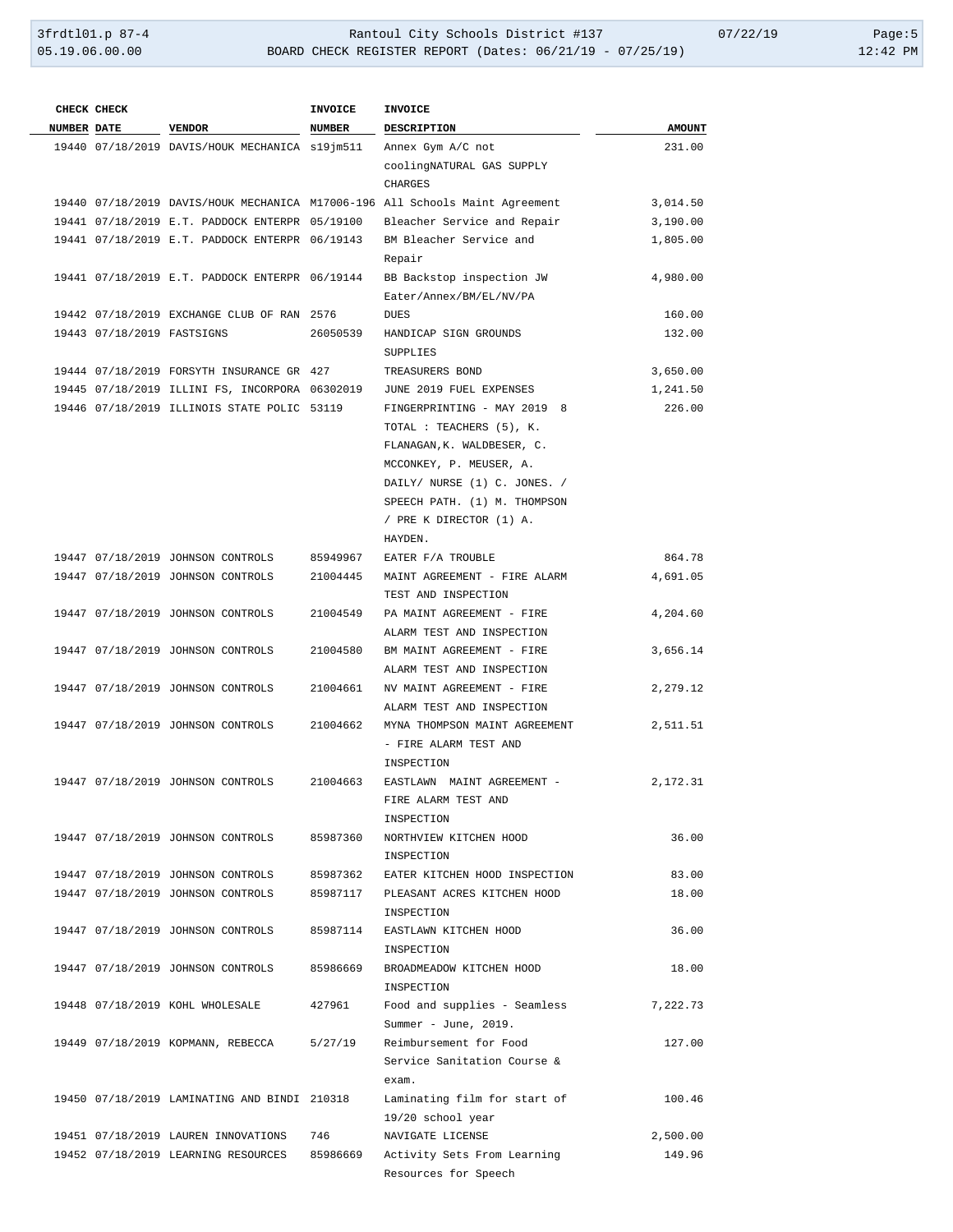| CHECK CHECK                |                                                | <b>INVOICE</b> | <b>INVOICE</b>                                                                          |               |
|----------------------------|------------------------------------------------|----------------|-----------------------------------------------------------------------------------------|---------------|
| <b>NUMBER DATE</b>         | VENDOR                                         | NUMBER         | DESCRIPTION                                                                             | <b>AMOUNT</b> |
|                            | 19440 07/18/2019 DAVIS/HOUK MECHANICA s19jm511 |                | Annex Gym A/C not                                                                       | 231.00        |
|                            |                                                |                | coolingNATURAL GAS SUPPLY<br><b>CHARGES</b>                                             |               |
|                            |                                                |                | 19440 07/18/2019 DAVIS/HOUK MECHANICA M17006-196 All Schools Maint Agreement            | 3,014.50      |
|                            | 19441 07/18/2019 E.T. PADDOCK ENTERPR 05/19100 |                | Bleacher Service and Repair                                                             | 3,190.00      |
|                            | 19441 07/18/2019 E.T. PADDOCK ENTERPR 06/19143 |                | BM Bleacher Service and<br>Repair                                                       | 1,805.00      |
|                            | 19441 07/18/2019 E.T. PADDOCK ENTERPR 06/19144 |                | BB Backstop inspection JW<br>Eater/Annex/BM/EL/NV/PA                                    | 4,980.00      |
|                            | 19442 07/18/2019 EXCHANGE CLUB OF RAN 2576     |                | <b>DUES</b>                                                                             | 160.00        |
| 19443 07/18/2019 FASTSIGNS |                                                | 26050539       | HANDICAP SIGN GROUNDS<br>SUPPLIES                                                       | 132.00        |
|                            | 19444 07/18/2019 FORSYTH INSURANCE GR 427      |                | TREASURERS BOND                                                                         | 3,650.00      |
|                            | 19445 07/18/2019 ILLINI FS, INCORPORA 06302019 |                | JUNE 2019 FUEL EXPENSES                                                                 | 1,241.50      |
|                            | 19446 07/18/2019 ILLINOIS STATE POLIC 53119    |                | FINGERPRINTING - MAY 2019 8                                                             | 226.00        |
|                            |                                                |                | TOTAL : TEACHERS (5), K.<br>FLANAGAN, K. WALDBESER, C.<br>MCCONKEY, P. MEUSER, A.       |               |
|                            |                                                |                | DAILY/ NURSE (1) C. JONES. /<br>SPEECH PATH. (1) M. THOMPSON<br>/ PRE K DIRECTOR (1) A. |               |
|                            |                                                |                | HAYDEN.                                                                                 |               |
|                            | 19447 07/18/2019 JOHNSON CONTROLS              | 85949967       | EATER F/A TROUBLE                                                                       | 864.78        |
|                            | 19447 07/18/2019 JOHNSON CONTROLS              | 21004445       | MAINT AGREEMENT - FIRE ALARM<br>TEST AND INSPECTION                                     | 4,691.05      |
|                            | 19447 07/18/2019 JOHNSON CONTROLS              | 21004549       | PA MAINT AGREEMENT - FIRE<br>ALARM TEST AND INSPECTION                                  | 4,204.60      |
|                            | 19447 07/18/2019 JOHNSON CONTROLS              | 21004580       | BM MAINT AGREEMENT - FIRE<br>ALARM TEST AND INSPECTION                                  | 3,656.14      |
|                            | 19447 07/18/2019 JOHNSON CONTROLS              | 21004661       | NV MAINT AGREEMENT - FIRE<br>ALARM TEST AND INSPECTION                                  | 2,279.12      |
|                            | 19447 07/18/2019 JOHNSON CONTROLS              | 21004662       | MYNA THOMPSON MAINT AGREEMENT<br>- FIRE ALARM TEST AND<br>INSPECTION                    | 2,511.51      |
|                            | 19447 07/18/2019 JOHNSON CONTROLS              | 21004663       | EASTLAWN MAINT AGREEMENT -<br>FIRE ALARM TEST AND<br>INSPECTION                         | 2,172.31      |
|                            | 19447 07/18/2019 JOHNSON CONTROLS              | 85987360       | NORTHVIEW KITCHEN HOOD<br>INSPECTION                                                    | 36.00         |
|                            | 19447 07/18/2019 JOHNSON CONTROLS              | 85987362       | EATER KITCHEN HOOD INSPECTION                                                           | 83.00         |
|                            | 19447 07/18/2019 JOHNSON CONTROLS              | 85987117       | PLEASANT ACRES KITCHEN HOOD<br>INSPECTION                                               | 18.00         |
|                            | 19447 07/18/2019 JOHNSON CONTROLS              | 85987114       | EASTLAWN KITCHEN HOOD<br>INSPECTION                                                     | 36.00         |
|                            | 19447 07/18/2019 JOHNSON CONTROLS              | 85986669       | BROADMEADOW KITCHEN HOOD<br>INSPECTION                                                  | 18.00         |
|                            | 19448 07/18/2019 KOHL WHOLESALE                | 427961         | Food and supplies - Seamless<br>Summer - June, 2019.                                    | 7,222.73      |
|                            | 19449 07/18/2019 KOPMANN, REBECCA              | 5/27/19        | Reimbursement for Food<br>Service Sanitation Course &<br>exam.                          | 127.00        |
|                            | 19450 07/18/2019 LAMINATING AND BINDI 210318   |                | Laminating film for start of<br>19/20 school year                                       | 100.46        |
|                            | 19451 07/18/2019 LAUREN INNOVATIONS            | 746            | NAVIGATE LICENSE                                                                        | 2,500.00      |
|                            | 19452 07/18/2019 LEARNING RESOURCES            | 85986669       | Activity Sets From Learning<br>Resources for Speech                                     | 149.96        |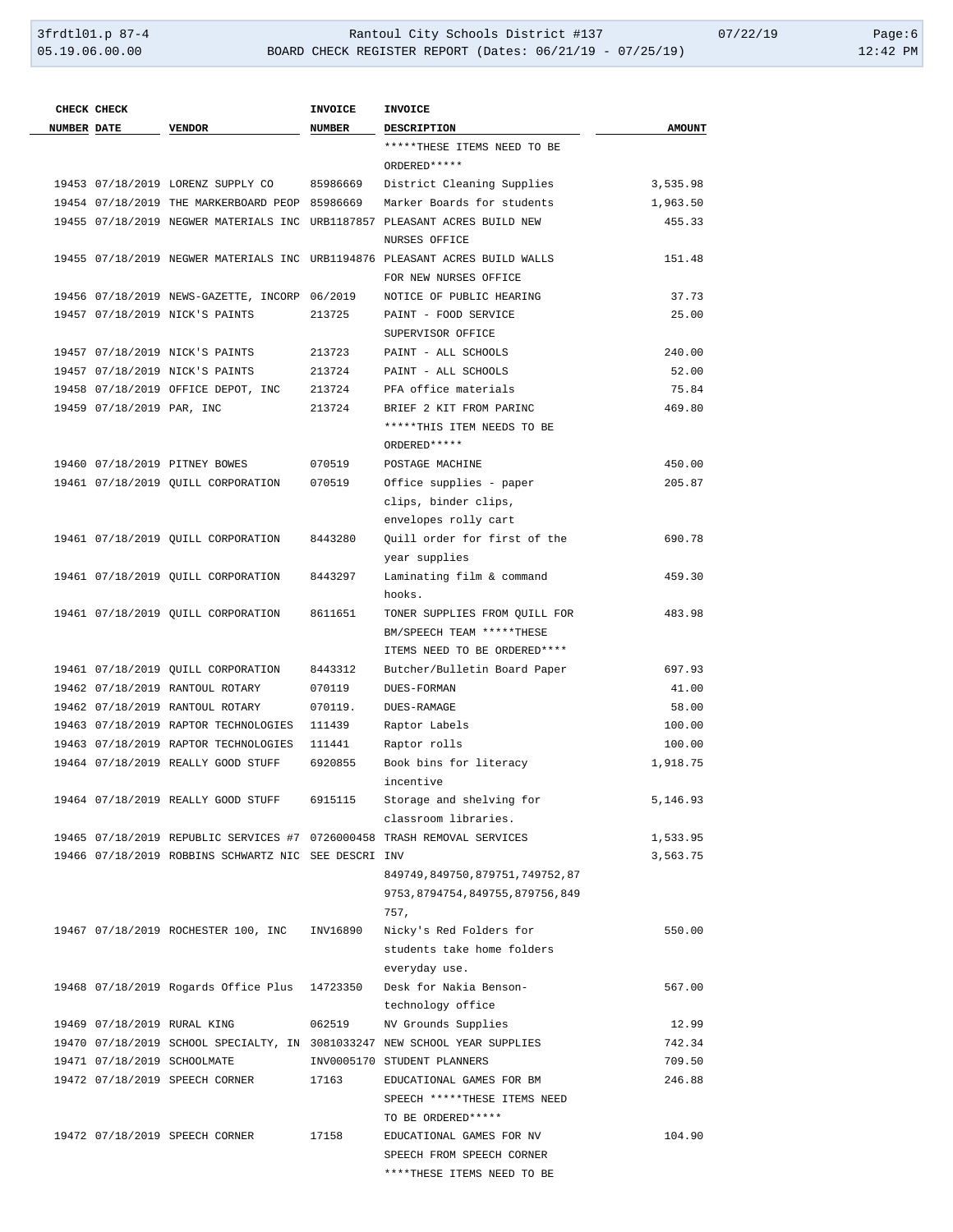|                    | CHECK CHECK               |                                                      | <b>INVOICE</b> | <b>INVOICE</b>                                                              |               |
|--------------------|---------------------------|------------------------------------------------------|----------------|-----------------------------------------------------------------------------|---------------|
| <b>NUMBER DATE</b> |                           | <b>VENDOR</b>                                        | <b>NUMBER</b>  | <b>DESCRIPTION</b>                                                          | <b>AMOUNT</b> |
|                    |                           |                                                      |                | *****THESE ITEMS NEED TO BE                                                 |               |
|                    |                           |                                                      |                | ORDERED *****                                                               |               |
|                    |                           | 19453 07/18/2019 LORENZ SUPPLY CO                    | 85986669       | District Cleaning Supplies                                                  | 3,535.98      |
|                    |                           | 19454 07/18/2019 THE MARKERBOARD PEOP 85986669       |                | Marker Boards for students                                                  | 1,963.50      |
|                    |                           |                                                      |                | 19455 07/18/2019 NEGWER MATERIALS INC URB1187857 PLEASANT ACRES BUILD NEW   | 455.33        |
|                    |                           |                                                      |                | <b>NURSES OFFICE</b>                                                        |               |
|                    |                           |                                                      |                | 19455 07/18/2019 NEGWER MATERIALS INC URB1194876 PLEASANT ACRES BUILD WALLS | 151.48        |
|                    |                           |                                                      |                | FOR NEW NURSES OFFICE                                                       |               |
|                    |                           | 19456 07/18/2019 NEWS-GAZETTE, INCORP 06/2019        |                | NOTICE OF PUBLIC HEARING                                                    | 37.73         |
|                    |                           | 19457 07/18/2019 NICK'S PAINTS                       | 213725         | PAINT - FOOD SERVICE                                                        | 25.00         |
|                    |                           |                                                      |                | SUPERVISOR OFFICE                                                           |               |
|                    |                           | 19457 07/18/2019 NICK'S PAINTS                       | 213723         | PAINT - ALL SCHOOLS                                                         | 240.00        |
|                    |                           | 19457 07/18/2019 NICK'S PAINTS                       | 213724         | PAINT - ALL SCHOOLS                                                         | 52.00         |
|                    |                           | 19458 07/18/2019 OFFICE DEPOT, INC                   | 213724         | PFA office materials                                                        | 75.84         |
|                    | 19459 07/18/2019 PAR, INC |                                                      | 213724         | BRIEF 2 KIT FROM PARINC                                                     | 469.80        |
|                    |                           |                                                      |                | *****THIS ITEM NEEDS TO BE                                                  |               |
|                    |                           |                                                      |                | ORDERED *****                                                               |               |
|                    |                           | 19460 07/18/2019 PITNEY BOWES                        | 070519         | POSTAGE MACHINE                                                             | 450.00        |
|                    |                           | 19461 07/18/2019 OUILL CORPORATION                   | 070519         | Office supplies - paper                                                     | 205.87        |
|                    |                           |                                                      |                | clips, binder clips,                                                        |               |
|                    |                           |                                                      |                | envelopes rolly cart                                                        |               |
|                    |                           | 19461 07/18/2019 QUILL CORPORATION                   | 8443280        | Ouill order for first of the                                                | 690.78        |
|                    |                           |                                                      |                | year supplies                                                               |               |
|                    |                           | 19461 07/18/2019 QUILL CORPORATION                   | 8443297        | Laminating film & command                                                   | 459.30        |
|                    |                           |                                                      |                | hooks.                                                                      |               |
|                    |                           | 19461 07/18/2019 QUILL CORPORATION                   | 8611651        | TONER SUPPLIES FROM QUILL FOR                                               | 483.98        |
|                    |                           |                                                      |                | BM/SPEECH TEAM *****THESE                                                   |               |
|                    |                           |                                                      |                | ITEMS NEED TO BE ORDERED****                                                |               |
|                    |                           | 19461 07/18/2019 OUILL CORPORATION                   | 8443312        | Butcher/Bulletin Board Paper                                                | 697.93        |
|                    |                           | 19462 07/18/2019 RANTOUL ROTARY                      | 070119         | DUES-FORMAN                                                                 | 41.00         |
|                    |                           | 19462 07/18/2019 RANTOUL ROTARY                      | 070119.        | DUES-RAMAGE                                                                 | 58.00         |
|                    |                           | 19463 07/18/2019 RAPTOR TECHNOLOGIES                 | 111439         | Raptor Labels                                                               | 100.00        |
|                    |                           | 19463 07/18/2019 RAPTOR TECHNOLOGIES                 | 111441         | Raptor rolls                                                                | 100.00        |
|                    |                           | 19464 07/18/2019 REALLY GOOD STUFF                   | 6920855        | Book bins for literacy                                                      | 1,918.75      |
|                    |                           |                                                      |                | incentive                                                                   |               |
|                    |                           | 19464 07/18/2019 REALLY GOOD STUFF                   | 6915115        | Storage and shelving for                                                    | 5,146.93      |
|                    |                           |                                                      |                | classroom libraries.                                                        |               |
|                    |                           |                                                      |                | 19465 07/18/2019 REPUBLIC SERVICES #7 0726000458 TRASH REMOVAL SERVICES     | 1,533.95      |
|                    |                           | 19466 07/18/2019 ROBBINS SCHWARTZ NIC SEE DESCRI INV |                |                                                                             | 3,563.75      |
|                    |                           |                                                      |                | 849749,849750,879751,749752,87                                              |               |
|                    |                           |                                                      |                | 9753, 8794754, 849755, 879756, 849                                          |               |
|                    |                           |                                                      |                | 757.                                                                        |               |
|                    |                           | 19467 07/18/2019 ROCHESTER 100, INC                  | INV16890       | Nicky's Red Folders for                                                     | 550.00        |
|                    |                           |                                                      |                | students take home folders                                                  |               |
|                    |                           |                                                      |                | everyday use.                                                               |               |
|                    |                           | 19468 07/18/2019 Rogards Office Plus 14723350        |                | Desk for Nakia Benson-                                                      | 567.00        |
|                    |                           |                                                      |                | technology office                                                           |               |
|                    |                           | 19469 07/18/2019 RURAL KING                          | 062519         | NV Grounds Supplies                                                         | 12.99         |
|                    |                           |                                                      |                | 19470 07/18/2019 SCHOOL SPECIALTY, IN 3081033247 NEW SCHOOL YEAR SUPPLIES   | 742.34        |
|                    |                           | 19471 07/18/2019 SCHOOLMATE                          |                | INV0005170 STUDENT PLANNERS                                                 | 709.50        |
|                    |                           | 19472 07/18/2019 SPEECH CORNER                       | 17163          | EDUCATIONAL GAMES FOR BM                                                    | 246.88        |
|                    |                           |                                                      |                | SPEECH *****THESE ITEMS NEED                                                |               |
|                    |                           |                                                      |                | TO BE ORDERED *****                                                         |               |
|                    |                           | 19472 07/18/2019 SPEECH CORNER                       | 17158          | EDUCATIONAL GAMES FOR NV                                                    | 104.90        |
|                    |                           |                                                      |                | SPEECH FROM SPEECH CORNER                                                   |               |
|                    |                           |                                                      |                | ****THESE ITEMS NEED TO BE                                                  |               |
|                    |                           |                                                      |                |                                                                             |               |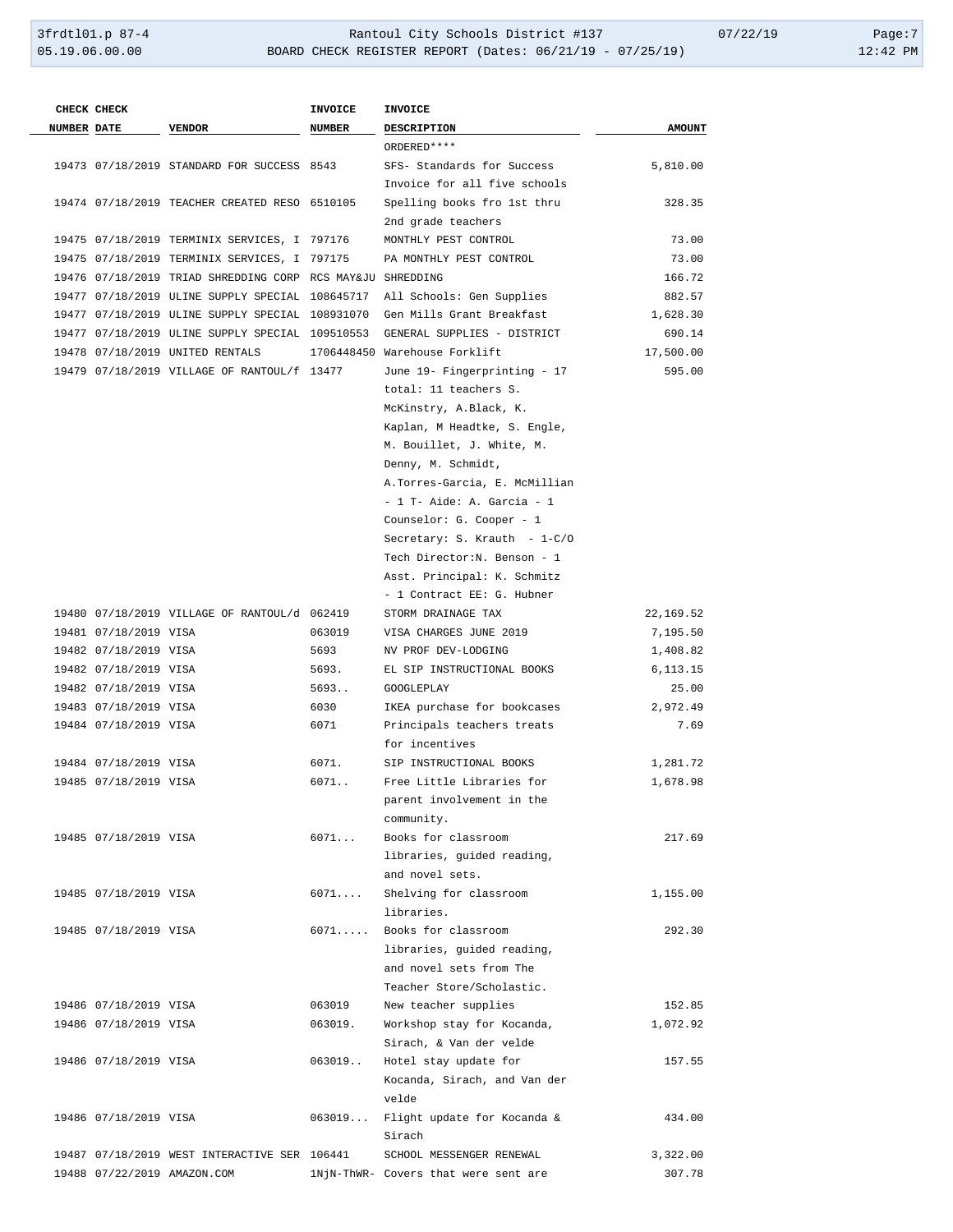|                    | CHECK CHECK           |                                                            | <b>INVOICE</b> | INVOICE                              |               |
|--------------------|-----------------------|------------------------------------------------------------|----------------|--------------------------------------|---------------|
| <b>NUMBER DATE</b> |                       | <b>VENDOR</b>                                              | NUMBER         | <b>DESCRIPTION</b>                   | <b>AMOUNT</b> |
|                    |                       |                                                            |                | ORDERED ****                         |               |
|                    |                       | 19473 07/18/2019 STANDARD FOR SUCCESS 8543                 |                | SFS- Standards for Success           | 5,810.00      |
|                    |                       |                                                            |                | Invoice for all five schools         |               |
|                    |                       | 19474 07/18/2019 TEACHER CREATED RESO 6510105              |                | Spelling books fro 1st thru          | 328.35        |
|                    |                       |                                                            |                | 2nd grade teachers                   |               |
|                    |                       | 19475 07/18/2019 TERMINIX SERVICES, I 797176               |                | MONTHLY PEST CONTROL                 | 73.00         |
|                    |                       | 19475 07/18/2019 TERMINIX SERVICES, I 797175               |                | PA MONTHLY PEST CONTROL              | 73.00         |
|                    |                       | 19476 07/18/2019 TRIAD SHREDDING CORP RCS MAY&JU SHREDDING |                |                                      | 166.72        |
|                    |                       | 19477 07/18/2019 ULINE SUPPLY SPECIAL 108645717            |                | All Schools: Gen Supplies            | 882.57        |
|                    |                       | 19477 07/18/2019 ULINE SUPPLY SPECIAL 108931070            |                | Gen Mills Grant Breakfast            | 1,628.30      |
|                    |                       | 19477 07/18/2019 ULINE SUPPLY SPECIAL 109510553            |                | GENERAL SUPPLIES - DISTRICT          | 690.14        |
|                    |                       | 19478 07/18/2019 UNITED RENTALS                            |                | 1706448450 Warehouse Forklift        | 17,500.00     |
|                    |                       | 19479 07/18/2019 VILLAGE OF RANTOUL/f 13477                |                | June 19- Fingerprinting - 17         | 595.00        |
|                    |                       |                                                            |                | total: 11 teachers S.                |               |
|                    |                       |                                                            |                | McKinstry, A.Black, K.               |               |
|                    |                       |                                                            |                | Kaplan, M Headtke, S. Engle,         |               |
|                    |                       |                                                            |                | M. Bouillet, J. White, M.            |               |
|                    |                       |                                                            |                | Denny, M. Schmidt,                   |               |
|                    |                       |                                                            |                | A. Torres-Garcia, E. McMillian       |               |
|                    |                       |                                                            |                | $-1$ T- Aide: A. Garcia - 1          |               |
|                    |                       |                                                            |                | Counselor: G. Cooper - 1             |               |
|                    |                       |                                                            |                | Secretary: S. Krauth - 1-C/O         |               |
|                    |                       |                                                            |                | Tech Director: N. Benson - 1         |               |
|                    |                       |                                                            |                | Asst. Principal: K. Schmitz          |               |
|                    |                       |                                                            |                | - 1 Contract EE: G. Hubner           |               |
|                    |                       | 19480 07/18/2019 VILLAGE OF RANTOUL/d 062419               |                | STORM DRAINAGE TAX                   | 22,169.52     |
|                    | 19481 07/18/2019 VISA |                                                            | 063019         | VISA CHARGES JUNE 2019               | 7,195.50      |
|                    | 19482 07/18/2019 VISA |                                                            | 5693           | NV PROF DEV-LODGING                  | 1,408.82      |
|                    | 19482 07/18/2019 VISA |                                                            | 5693.          | EL SIP INSTRUCTIONAL BOOKS           | 6, 113. 15    |
|                    | 19482 07/18/2019 VISA |                                                            | 5693           | GOOGLEPLAY                           | 25.00         |
|                    | 19483 07/18/2019 VISA |                                                            | 6030           | IKEA purchase for bookcases          | 2,972.49      |
|                    | 19484 07/18/2019 VISA |                                                            | 6071           | Principals teachers treats           | 7.69          |
|                    |                       |                                                            |                | for incentives                       |               |
|                    | 19484 07/18/2019 VISA |                                                            | 6071.          | SIP INSTRUCTIONAL BOOKS              | 1,281.72      |
|                    | 19485 07/18/2019 VISA |                                                            | 6071           | Free Little Libraries for            | 1,678.98      |
|                    |                       |                                                            |                | parent involvement in the            |               |
|                    |                       |                                                            |                | community.                           |               |
|                    | 19485 07/18/2019 VISA |                                                            | 6071           | Books for classroom                  | 217.69        |
|                    |                       |                                                            |                | libraries, guided reading,           |               |
|                    |                       |                                                            |                | and novel sets.                      |               |
|                    | 19485 07/18/2019 VISA |                                                            | 6071           | Shelving for classroom               | 1,155.00      |
|                    |                       |                                                            |                | libraries.                           |               |
|                    | 19485 07/18/2019 VISA |                                                            |                | 6071 Books for classroom             | 292.30        |
|                    |                       |                                                            |                | libraries, guided reading,           |               |
|                    |                       |                                                            |                | and novel sets from The              |               |
|                    |                       |                                                            |                | Teacher Store/Scholastic.            |               |
|                    | 19486 07/18/2019 VISA |                                                            | 063019         | New teacher supplies                 | 152.85        |
|                    | 19486 07/18/2019 VISA |                                                            | 063019.        | Workshop stay for Kocanda,           | 1,072.92      |
|                    |                       |                                                            |                | Sirach, & Van der velde              |               |
|                    | 19486 07/18/2019 VISA |                                                            | 063019         | Hotel stay update for                | 157.55        |
|                    |                       |                                                            |                | Kocanda, Sirach, and Van der         |               |
|                    |                       |                                                            |                | velde                                |               |
|                    | 19486 07/18/2019 VISA |                                                            |                | 063019 Flight update for Kocanda &   | 434.00        |
|                    |                       |                                                            |                | Sirach                               |               |
|                    |                       | 19487 07/18/2019 WEST INTERACTIVE SER 106441               |                | SCHOOL MESSENGER RENEWAL             | 3,322.00      |
|                    |                       | 19488 07/22/2019 AMAZON.COM                                |                | 1NjN-ThWR- Covers that were sent are | 307.78        |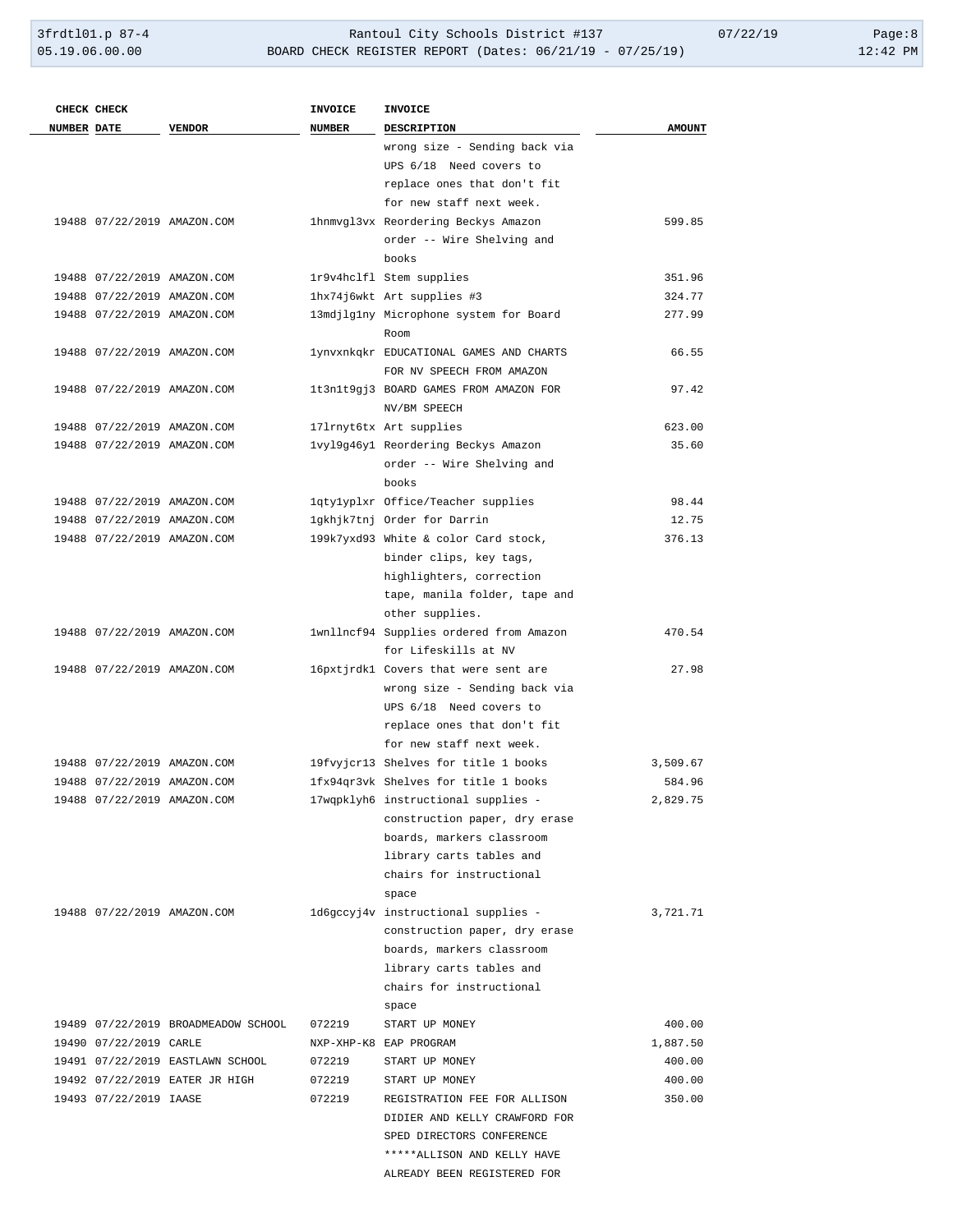|                    | CHECK CHECK            |                                                            | <b>INVOICE</b> | <b>INVOICE</b>                          |               |
|--------------------|------------------------|------------------------------------------------------------|----------------|-----------------------------------------|---------------|
| <b>NUMBER DATE</b> |                        | <b>VENDOR</b>                                              | <b>NUMBER</b>  | DESCRIPTION                             | <b>AMOUNT</b> |
|                    |                        |                                                            |                | wrong size - Sending back via           |               |
|                    |                        |                                                            |                | UPS 6/18 Need covers to                 |               |
|                    |                        |                                                            |                | replace ones that don't fit             |               |
|                    |                        |                                                            |                | for new staff next week.                |               |
|                    |                        | 19488 07/22/2019 AMAZON.COM                                |                | 1hnmvgl3vx Reordering Beckys Amazon     | 599.85        |
|                    |                        |                                                            |                | order -- Wire Shelving and              |               |
|                    |                        |                                                            |                | books                                   |               |
|                    |                        | 19488 07/22/2019 AMAZON.COM                                |                | 1r9v4hclfl Stem supplies                | 351.96        |
|                    |                        | 19488 07/22/2019 AMAZON.COM                                |                | 1hx74j6wkt Art supplies #3              | 324.77        |
|                    |                        | 19488 07/22/2019 AMAZON.COM                                |                | 13mdjlg1ny Microphone system for Board  | 277.99        |
|                    |                        |                                                            |                | Room                                    |               |
|                    |                        | 19488 07/22/2019 AMAZON.COM                                |                | lynvxnkqkr EDUCATIONAL GAMES AND CHARTS | 66.55         |
|                    |                        |                                                            |                | FOR NV SPEECH FROM AMAZON               |               |
|                    |                        | 19488 07/22/2019 AMAZON.COM                                |                | 1t3n1t9gj3 BOARD GAMES FROM AMAZON FOR  | 97.42         |
|                    |                        |                                                            |                | NV/BM SPEECH                            |               |
|                    |                        | 19488 07/22/2019 AMAZON.COM                                |                | 171rnyt6tx Art supplies                 | 623.00        |
|                    |                        | 19488 07/22/2019 AMAZON.COM                                |                | lvyl9g46y1 Reordering Beckys Amazon     | 35.60         |
|                    |                        |                                                            |                | order -- Wire Shelving and<br>books     |               |
|                    |                        |                                                            |                | lqtylyplxr Office/Teacher supplies      | 98.44         |
|                    |                        | 19488 07/22/2019 AMAZON.COM<br>19488 07/22/2019 AMAZON.COM |                | 1gkhjk7tnj Order for Darrin             | 12.75         |
|                    |                        | 19488 07/22/2019 AMAZON.COM                                |                | 199k7yxd93 White & color Card stock,    | 376.13        |
|                    |                        |                                                            |                | binder clips, key tags,                 |               |
|                    |                        |                                                            |                | highlighters, correction                |               |
|                    |                        |                                                            |                | tape, manila folder, tape and           |               |
|                    |                        |                                                            |                | other supplies.                         |               |
|                    |                        | 19488 07/22/2019 AMAZON.COM                                |                | 1wnllncf94 Supplies ordered from Amazon | 470.54        |
|                    |                        |                                                            |                | for Lifeskills at NV                    |               |
|                    |                        | 19488 07/22/2019 AMAZON.COM                                |                | 16pxtjrdk1 Covers that were sent are    | 27.98         |
|                    |                        |                                                            |                | wrong size - Sending back via           |               |
|                    |                        |                                                            |                | UPS 6/18 Need covers to                 |               |
|                    |                        |                                                            |                | replace ones that don't fit             |               |
|                    |                        |                                                            |                | for new staff next week.                |               |
|                    |                        | 19488 07/22/2019 AMAZON.COM                                |                | 19fvyjcr13 Shelves for title 1 books    | 3,509.67      |
|                    |                        | 19488 07/22/2019 AMAZON.COM                                |                | 1fx94gr3vk Shelves for title 1 books    | 584.96        |
|                    |                        | 19488 07/22/2019 AMAZON.COM                                |                | 17wqpklyh6 instructional supplies -     | 2,829.75      |
|                    |                        |                                                            |                | construction paper, dry erase           |               |
|                    |                        |                                                            |                | boards, markers classroom               |               |
|                    |                        |                                                            |                | library carts tables and                |               |
|                    |                        |                                                            |                | chairs for instructional                |               |
|                    |                        |                                                            |                | space                                   |               |
|                    |                        | 19488 07/22/2019 AMAZON.COM                                |                | 1d6gccyj4v instructional supplies -     | 3,721.71      |
|                    |                        |                                                            |                | construction paper, dry erase           |               |
|                    |                        |                                                            |                | boards, markers classroom               |               |
|                    |                        |                                                            |                | library carts tables and                |               |
|                    |                        |                                                            |                | chairs for instructional                |               |
|                    |                        |                                                            |                | space                                   |               |
|                    |                        | 19489 07/22/2019 BROADMEADOW SCHOOL                        | 072219         | START UP MONEY                          | 400.00        |
|                    | 19490 07/22/2019 CARLE |                                                            |                | NXP-XHP-K8 EAP PROGRAM                  | 1,887.50      |
|                    |                        | 19491 07/22/2019 EASTLAWN SCHOOL                           | 072219         | START UP MONEY                          | 400.00        |
|                    |                        | 19492 07/22/2019 EATER JR HIGH                             | 072219         | START UP MONEY                          | 400.00        |
|                    | 19493 07/22/2019 IAASE |                                                            | 072219         | REGISTRATION FEE FOR ALLISON            | 350.00        |
|                    |                        |                                                            |                | DIDIER AND KELLY CRAWFORD FOR           |               |
|                    |                        |                                                            |                | SPED DIRECTORS CONFERENCE               |               |
|                    |                        |                                                            |                | *****ALLISON AND KELLY HAVE             |               |
|                    |                        |                                                            |                | ALREADY BEEN REGISTERED FOR             |               |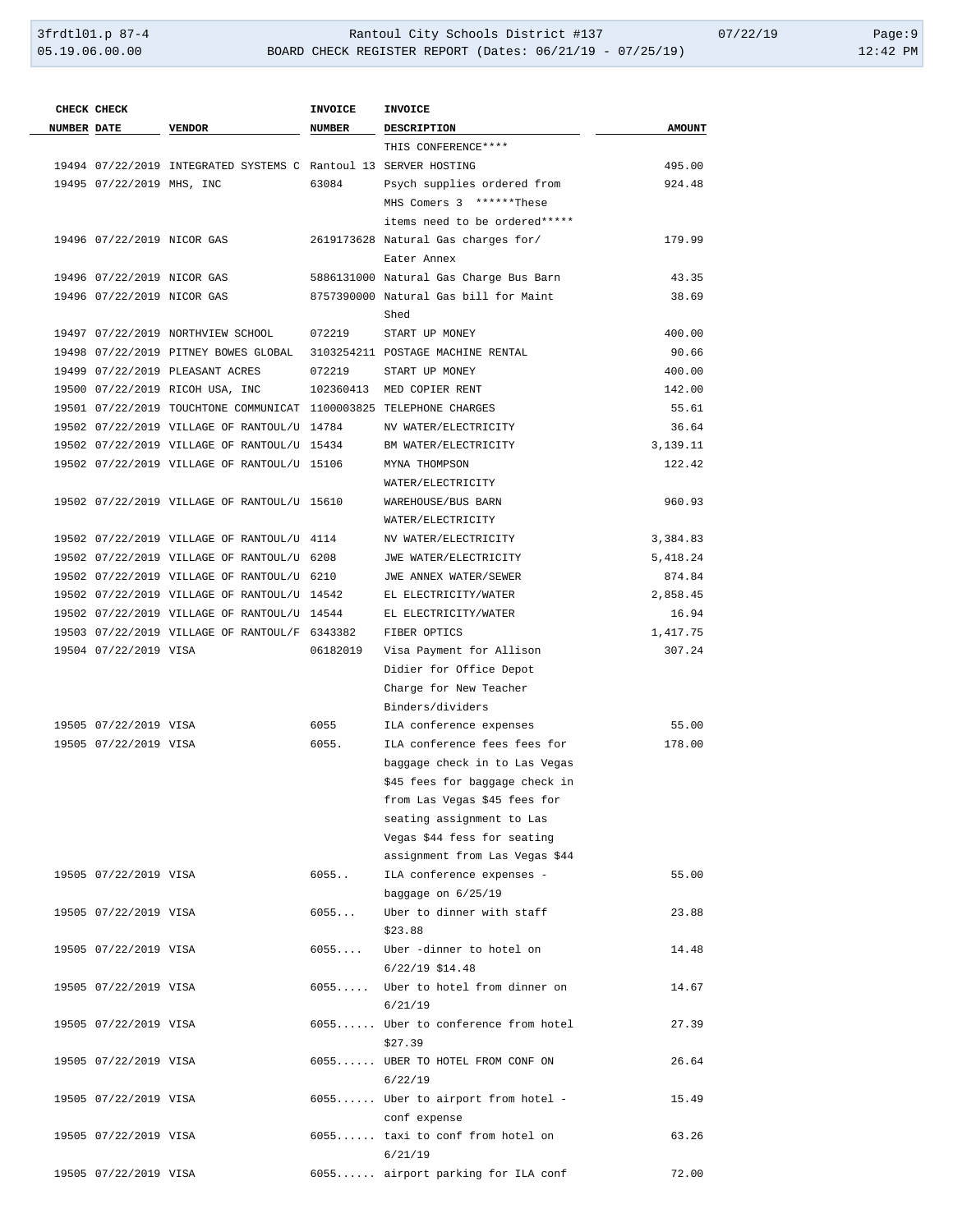|                    | CHECK CHECK                |                                                                    | <b>INVOICE</b> | <b>INVOICE</b>                                                         |               |
|--------------------|----------------------------|--------------------------------------------------------------------|----------------|------------------------------------------------------------------------|---------------|
| <b>NUMBER DATE</b> |                            | <b>VENDOR</b>                                                      | <b>NUMBER</b>  | DESCRIPTION                                                            | <b>AMOUNT</b> |
|                    |                            |                                                                    |                | THIS CONFERENCE ****                                                   |               |
|                    |                            | 19494 07/22/2019 INTEGRATED SYSTEMS C Rantoul 13 SERVER HOSTING    |                |                                                                        | 495.00        |
|                    | 19495 07/22/2019 MHS, INC  |                                                                    | 63084          | Psych supplies ordered from                                            | 924.48        |
|                    |                            |                                                                    |                | MHS Comers 3 ******These                                               |               |
|                    |                            |                                                                    |                | items need to be ordered*****                                          |               |
|                    | 19496 07/22/2019 NICOR GAS |                                                                    |                | 2619173628 Natural Gas charges for/                                    | 179.99        |
|                    |                            |                                                                    |                | Eater Annex                                                            |               |
|                    | 19496 07/22/2019 NICOR GAS |                                                                    |                | 5886131000 Natural Gas Charge Bus Barn                                 | 43.35         |
|                    | 19496 07/22/2019 NICOR GAS |                                                                    |                | 8757390000 Natural Gas bill for Maint                                  | 38.69         |
|                    |                            |                                                                    |                | Shed                                                                   |               |
|                    |                            | 19497 07/22/2019 NORTHVIEW SCHOOL                                  | 072219         | START UP MONEY                                                         | 400.00        |
|                    |                            |                                                                    |                | 19498 07/22/2019 PITNEY BOWES GLOBAL 3103254211 POSTAGE MACHINE RENTAL | 90.66         |
|                    |                            | 19499 07/22/2019 PLEASANT ACRES                                    | 072219         | START UP MONEY                                                         | 400.00        |
|                    |                            | 19500 07/22/2019 RICOH USA, INC                                    |                | 102360413 MED COPIER RENT                                              | 142.00        |
|                    |                            | 19501 07/22/2019 TOUCHTONE COMMUNICAT 1100003825 TELEPHONE CHARGES |                |                                                                        | 55.61         |
|                    |                            | 19502 07/22/2019 VILLAGE OF RANTOUL/U 14784                        |                | NV WATER/ELECTRICITY                                                   | 36.64         |
|                    |                            | 19502 07/22/2019 VILLAGE OF RANTOUL/U 15434                        |                | BM WATER/ELECTRICITY                                                   | 3,139.11      |
|                    |                            | 19502 07/22/2019 VILLAGE OF RANTOUL/U 15106                        |                | MYNA THOMPSON                                                          | 122.42        |
|                    |                            |                                                                    |                | WATER/ELECTRICITY                                                      |               |
|                    |                            | 19502 07/22/2019 VILLAGE OF RANTOUL/U 15610                        |                | WAREHOUSE/BUS BARN                                                     | 960.93        |
|                    |                            |                                                                    |                | WATER/ELECTRICITY                                                      |               |
|                    |                            | 19502 07/22/2019 VILLAGE OF RANTOUL/U 4114                         |                | NV WATER/ELECTRICITY                                                   | 3,384.83      |
|                    |                            | 19502 07/22/2019 VILLAGE OF RANTOUL/U 6208                         |                | JWE WATER/ELECTRICITY                                                  | 5,418.24      |
|                    |                            | 19502 07/22/2019 VILLAGE OF RANTOUL/U 6210                         |                | JWE ANNEX WATER/SEWER                                                  | 874.84        |
|                    |                            | 19502 07/22/2019 VILLAGE OF RANTOUL/U 14542                        |                | EL ELECTRICITY/WATER                                                   | 2,858.45      |
|                    |                            | 19502 07/22/2019 VILLAGE OF RANTOUL/U 14544                        |                |                                                                        | 16.94         |
|                    |                            |                                                                    |                | EL ELECTRICITY/WATER                                                   |               |
|                    |                            | 19503 07/22/2019 VILLAGE OF RANTOUL/F 6343382                      |                | FIBER OPTICS                                                           | 1,417.75      |
|                    | 19504 07/22/2019 VISA      |                                                                    | 06182019       | Visa Payment for Allison                                               | 307.24        |
|                    |                            |                                                                    |                | Didier for Office Depot                                                |               |
|                    |                            |                                                                    |                | Charge for New Teacher                                                 |               |
|                    |                            |                                                                    |                | Binders/dividers                                                       |               |
|                    | 19505 07/22/2019 VISA      |                                                                    | 6055           | ILA conference expenses                                                | 55.00         |
|                    | 19505 07/22/2019 VISA      |                                                                    | 6055.          | ILA conference fees fees for                                           | 178.00        |
|                    |                            |                                                                    |                | baggage check in to Las Vegas                                          |               |
|                    |                            |                                                                    |                | \$45 fees for baggage check in                                         |               |
|                    |                            |                                                                    |                | from Las Vegas \$45 fees for                                           |               |
|                    |                            |                                                                    |                | seating assignment to Las                                              |               |
|                    |                            |                                                                    |                | Vegas \$44 fess for seating                                            |               |
|                    |                            |                                                                    |                | assignment from Las Vegas \$44                                         |               |
|                    | 19505 07/22/2019 VISA      |                                                                    | 6055           | ILA conference expenses -                                              | 55.00         |
|                    |                            |                                                                    |                | baggage on $6/25/19$                                                   |               |
|                    | 19505 07/22/2019 VISA      |                                                                    | 6055           | Uber to dinner with staff                                              | 23.88         |
|                    |                            |                                                                    |                | \$23.88                                                                |               |
|                    | 19505 07/22/2019 VISA      |                                                                    |                | 6055 Uber -dinner to hotel on                                          | 14.48         |
|                    |                            |                                                                    |                | $6/22/19$ \$14.48                                                      |               |
|                    | 19505 07/22/2019 VISA      |                                                                    |                | 6055 Uber to hotel from dinner on                                      | 14.67         |
|                    |                            |                                                                    |                | 6/21/19                                                                |               |
|                    | 19505 07/22/2019 VISA      |                                                                    |                | 6055 Uber to conference from hotel                                     | 27.39         |
|                    |                            |                                                                    |                | \$27.39                                                                |               |
|                    | 19505 07/22/2019 VISA      |                                                                    |                | 6055 UBER TO HOTEL FROM CONF ON                                        | 26.64         |
|                    |                            |                                                                    |                | 6/22/19                                                                |               |
|                    | 19505 07/22/2019 VISA      |                                                                    |                | $6055$ Uber to airport from hotel -                                    | 15.49         |
|                    |                            |                                                                    |                | conf expense                                                           |               |
|                    | 19505 07/22/2019 VISA      |                                                                    |                | 6055 taxi to conf from hotel on                                        | 63.26         |
|                    |                            |                                                                    |                | 6/21/19                                                                |               |
|                    | 19505 07/22/2019 VISA      |                                                                    |                | 6055 airport parking for ILA conf                                      | 72.00         |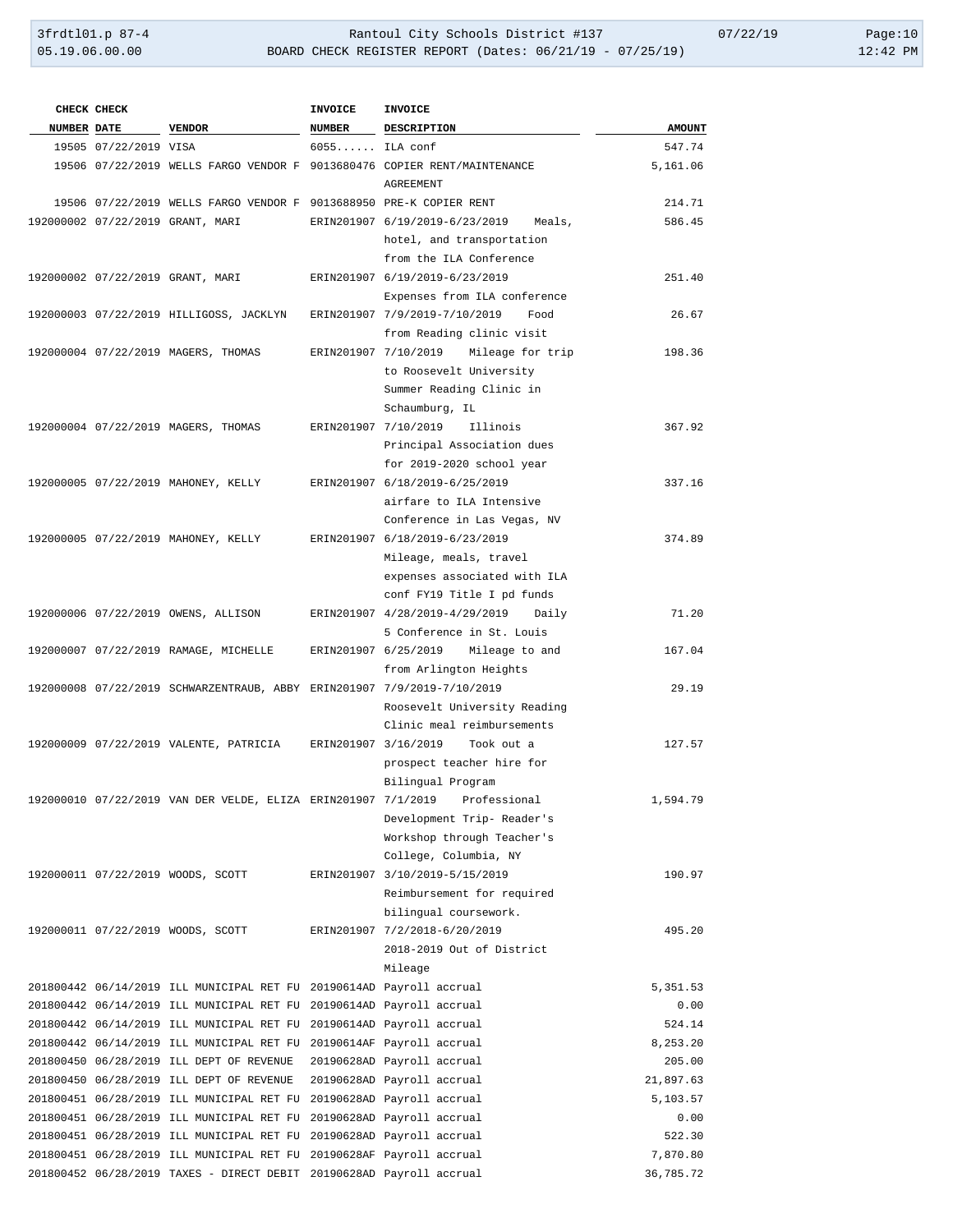|                    | CHECK CHECK           |                                                                         | <b>INVOICE</b>  | <b>INVOICE</b>                                                             |               |
|--------------------|-----------------------|-------------------------------------------------------------------------|-----------------|----------------------------------------------------------------------------|---------------|
| <b>NUMBER DATE</b> |                       | VENDOR                                                                  | NUMBER          | DESCRIPTION                                                                | <b>AMOUNT</b> |
|                    | 19505 07/22/2019 VISA |                                                                         | $6055$ ILA conf |                                                                            | 547.74        |
|                    |                       |                                                                         |                 | 19506 07/22/2019 WELLS FARGO VENDOR F 9013680476 COPIER RENT/MAINTENANCE   | 5,161.06      |
|                    |                       |                                                                         |                 | AGREEMENT                                                                  |               |
|                    |                       | 19506 07/22/2019 WELLS FARGO VENDOR F 9013688950 PRE-K COPIER RENT      |                 |                                                                            | 214.71        |
|                    |                       | 192000002 07/22/2019 GRANT, MARI                                        |                 | ERIN201907 6/19/2019-6/23/2019 Meals,                                      | 586.45        |
|                    |                       |                                                                         |                 | hotel, and transportation                                                  |               |
|                    |                       |                                                                         |                 | from the ILA Conference                                                    |               |
|                    |                       | 192000002 07/22/2019 GRANT, MARI                                        |                 | ERIN201907 6/19/2019-6/23/2019                                             | 251.40        |
|                    |                       |                                                                         |                 | Expenses from ILA conference                                               |               |
|                    |                       |                                                                         |                 | 192000003 07/22/2019 HILLIGOSS, JACKLYN ERIN201907 7/9/2019-7/10/2019 Food | 26.67         |
|                    |                       |                                                                         |                 | from Reading clinic visit                                                  |               |
|                    |                       | 192000004 07/22/2019 MAGERS, THOMAS                                     |                 | ERIN201907 7/10/2019 Mileage for trip                                      | 198.36        |
|                    |                       |                                                                         |                 | to Roosevelt University                                                    |               |
|                    |                       |                                                                         |                 | Summer Reading Clinic in                                                   |               |
|                    |                       |                                                                         |                 | Schaumburg, IL                                                             |               |
|                    |                       | 192000004 07/22/2019 MAGERS, THOMAS                                     |                 | ERIN201907 7/10/2019 Illinois                                              | 367.92        |
|                    |                       |                                                                         |                 | Principal Association dues                                                 |               |
|                    |                       |                                                                         |                 | for 2019-2020 school year                                                  |               |
|                    |                       | 192000005 07/22/2019 MAHONEY, KELLY                                     |                 | ERIN201907 6/18/2019-6/25/2019                                             | 337.16        |
|                    |                       |                                                                         |                 | airfare to ILA Intensive                                                   |               |
|                    |                       |                                                                         |                 | Conference in Las Vegas, NV                                                |               |
|                    |                       | 192000005 07/22/2019 MAHONEY, KELLY                                     |                 | ERIN201907 6/18/2019-6/23/2019                                             | 374.89        |
|                    |                       |                                                                         |                 | Mileage, meals, travel                                                     |               |
|                    |                       |                                                                         |                 | expenses associated with ILA                                               |               |
|                    |                       |                                                                         |                 | conf FY19 Title I pd funds                                                 |               |
|                    |                       | 192000006 07/22/2019 OWENS, ALLISON                                     |                 | ERIN201907 4/28/2019-4/29/2019 Daily                                       | 71.20         |
|                    |                       |                                                                         |                 | 5 Conference in St. Louis                                                  |               |
|                    |                       | 192000007 07/22/2019 RAMAGE, MICHELLE                                   |                 | ERIN201907 6/25/2019 Mileage to and                                        | 167.04        |
|                    |                       |                                                                         |                 | from Arlington Heights                                                     |               |
|                    |                       | 192000008 07/22/2019 SCHWARZENTRAUB, ABBY ERIN201907 7/9/2019-7/10/2019 |                 |                                                                            | 29.19         |
|                    |                       |                                                                         |                 | Roosevelt University Reading                                               |               |
|                    |                       |                                                                         |                 | Clinic meal reimbursements                                                 |               |
|                    |                       |                                                                         |                 | 192000009 07/22/2019 VALENTE, PATRICIA ERIN201907 3/16/2019 Took out a     | 127.57        |
|                    |                       |                                                                         |                 | prospect teacher hire for                                                  |               |
|                    |                       |                                                                         |                 | Bilingual Program                                                          |               |
|                    |                       |                                                                         |                 | 192000010 07/22/2019 VAN DER VELDE, ELIZA ERIN201907 7/1/2019 Professional | 1,594.79      |
|                    |                       |                                                                         |                 | Development Trip- Reader's                                                 |               |
|                    |                       |                                                                         |                 | Workshop through Teacher's                                                 |               |
|                    |                       |                                                                         |                 | College, Columbia, NY                                                      |               |
|                    |                       | 192000011 07/22/2019 WOODS, SCOTT                                       |                 | ERIN201907 3/10/2019-5/15/2019                                             | 190.97        |
|                    |                       |                                                                         |                 | Reimbursement for required                                                 |               |
|                    |                       |                                                                         |                 | bilingual coursework.                                                      |               |
|                    |                       | 192000011 07/22/2019 WOODS, SCOTT                                       |                 | ERIN201907 7/2/2018-6/20/2019                                              | 495.20        |
|                    |                       |                                                                         |                 | 2018-2019 Out of District                                                  |               |
|                    |                       |                                                                         |                 | Mileage                                                                    |               |
|                    |                       | 201800442 06/14/2019 ILL MUNICIPAL RET FU 20190614AD Payroll accrual    |                 |                                                                            | 5,351.53      |
|                    |                       | 201800442 06/14/2019 ILL MUNICIPAL RET FU 20190614AD Payroll accrual    |                 |                                                                            | 0.00          |
|                    |                       | 201800442 06/14/2019 ILL MUNICIPAL RET FU 20190614AD Payroll accrual    |                 |                                                                            | 524.14        |
|                    |                       | 201800442 06/14/2019 ILL MUNICIPAL RET FU 20190614AF Payroll accrual    |                 |                                                                            | 8,253.20      |
|                    |                       | 201800450 06/28/2019 ILL DEPT OF REVENUE 20190628AD Payroll accrual     |                 |                                                                            | 205.00        |
|                    |                       | 201800450 06/28/2019 ILL DEPT OF REVENUE 20190628AD Payroll accrual     |                 |                                                                            | 21,897.63     |
|                    |                       | 201800451 06/28/2019 ILL MUNICIPAL RET FU 20190628AD Payroll accrual    |                 |                                                                            | 5,103.57      |
|                    |                       | 201800451 06/28/2019 ILL MUNICIPAL RET FU 20190628AD Payroll accrual    |                 |                                                                            | 0.00          |
|                    |                       | 201800451 06/28/2019 ILL MUNICIPAL RET FU 20190628AD Payroll accrual    |                 |                                                                            | 522.30        |
|                    |                       | 201800451 06/28/2019 ILL MUNICIPAL RET FU 20190628AF Payroll accrual    |                 |                                                                            | 7,870.80      |
|                    |                       | 201800452 06/28/2019 TAXES - DIRECT DEBIT 20190628AD Payroll accrual    |                 |                                                                            | 36,785.72     |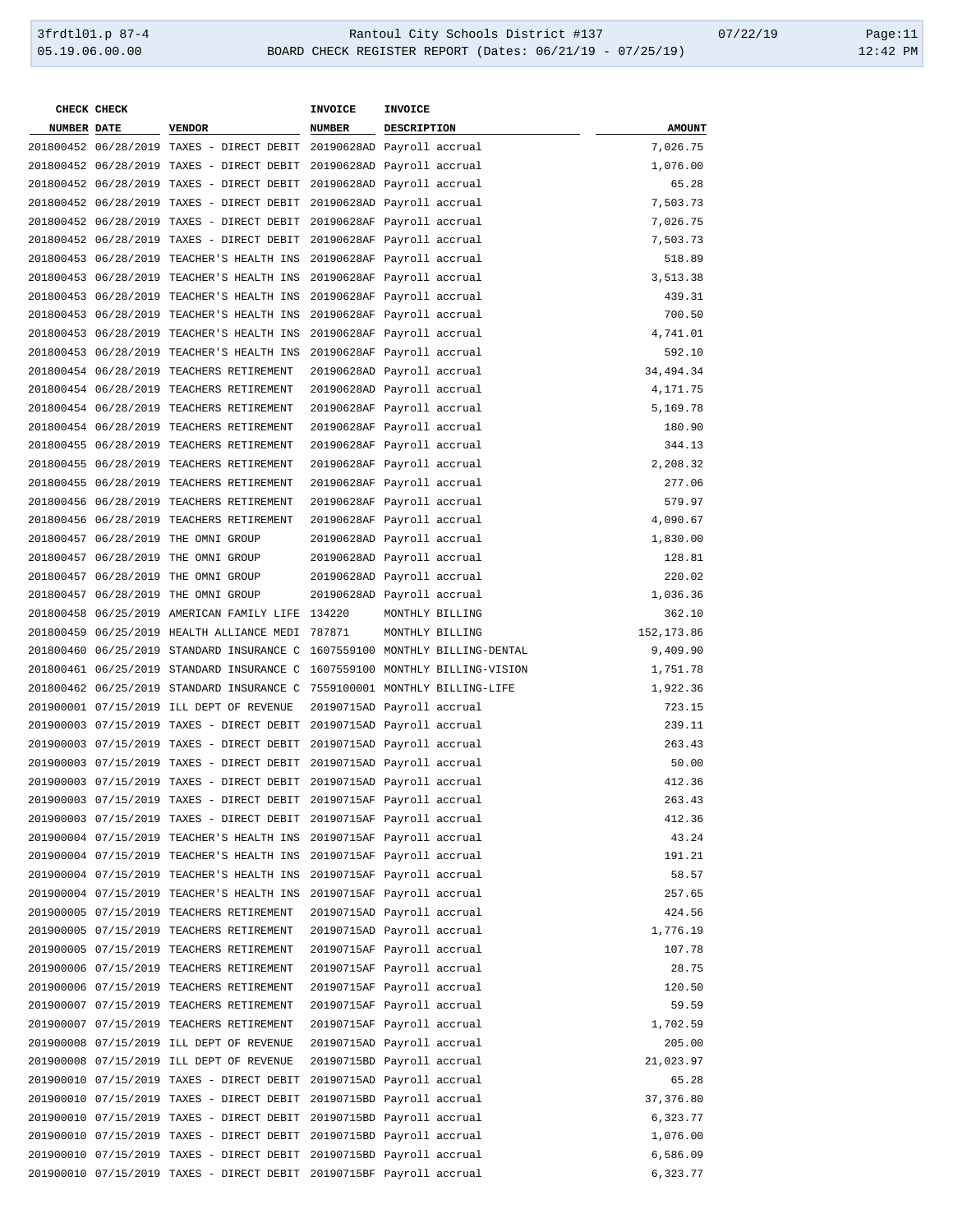**CHECK CHECK INVOICE INVOICE NUMBER DATE VENDOR NUMBER DESCRIPTION AMOUNT** 06/28/2019 TAXES - DIRECT DEBIT 20190628AD Payroll accrual 7,026.75 06/28/2019 TAXES - DIRECT DEBIT 20190628AD Payroll accrual 1,076.00 06/28/2019 TAXES - DIRECT DEBIT 20190628AD Payroll accrual 65.28 06/28/2019 TAXES - DIRECT DEBIT 20190628AD Payroll accrual 7,503.73 06/28/2019 TAXES - DIRECT DEBIT 20190628AF Payroll accrual 7,026.75 06/28/2019 TAXES - DIRECT DEBIT 20190628AF Payroll accrual 7,503.73 06/28/2019 TEACHER'S HEALTH INS 20190628AF Payroll accrual 518.89 06/28/2019 TEACHER'S HEALTH INS 20190628AF Payroll accrual 3,513.38 06/28/2019 TEACHER'S HEALTH INS 20190628AF Payroll accrual 439.31 06/28/2019 TEACHER'S HEALTH INS 20190628AF Payroll accrual 700.50 06/28/2019 TEACHER'S HEALTH INS 20190628AF Payroll accrual 4,741.01 06/28/2019 TEACHER'S HEALTH INS 20190628AF Payroll accrual 592.10 06/28/2019 TEACHERS RETIREMENT 20190628AD Payroll accrual 34,494.34 06/28/2019 TEACHERS RETIREMENT 20190628AD Payroll accrual 4,171.75 06/28/2019 TEACHERS RETIREMENT 20190628AF Payroll accrual 5,169.78 06/28/2019 TEACHERS RETIREMENT 20190628AF Payroll accrual 180.90 06/28/2019 TEACHERS RETIREMENT 20190628AF Payroll accrual 344.13 06/28/2019 TEACHERS RETIREMENT 20190628AF Payroll accrual 2,208.32 06/28/2019 TEACHERS RETIREMENT 20190628AF Payroll accrual 277.06 06/28/2019 TEACHERS RETIREMENT 20190628AF Payroll accrual 579.97 06/28/2019 TEACHERS RETIREMENT 20190628AF Payroll accrual 4,090.67 06/28/2019 THE OMNI GROUP 20190628AD Payroll accrual 1,830.00 06/28/2019 THE OMNI GROUP 20190628AD Payroll accrual 128.81 06/28/2019 THE OMNI GROUP 20190628AD Payroll accrual 220.02 06/28/2019 THE OMNI GROUP 20190628AD Payroll accrual 1,036.36 06/25/2019 AMERICAN FAMILY LIFE 134220 MONTHLY BILLING 362.10 06/25/2019 HEALTH ALLIANCE MEDI 787871 MONTHLY BILLING 152,173.86 06/25/2019 STANDARD INSURANCE C 1607559100 MONTHLY BILLING-DENTAL 9,409.90 06/25/2019 STANDARD INSURANCE C 1607559100 MONTHLY BILLING-VISION 1,751.78 06/25/2019 STANDARD INSURANCE C 7559100001 MONTHLY BILLING-LIFE 1,922.36 07/15/2019 ILL DEPT OF REVENUE 20190715AD Payroll accrual 723.15 07/15/2019 TAXES - DIRECT DEBIT 20190715AD Payroll accrual 239.11 07/15/2019 TAXES - DIRECT DEBIT 20190715AD Payroll accrual 263.43 07/15/2019 TAXES - DIRECT DEBIT 20190715AD Payroll accrual 50.00 07/15/2019 TAXES - DIRECT DEBIT 20190715AD Payroll accrual 412.36 07/15/2019 TAXES - DIRECT DEBIT 20190715AF Payroll accrual 263.43 07/15/2019 TAXES - DIRECT DEBIT 20190715AF Payroll accrual 412.36 07/15/2019 TEACHER'S HEALTH INS 20190715AF Payroll accrual 43.24 07/15/2019 TEACHER'S HEALTH INS 20190715AF Payroll accrual 191.21 07/15/2019 TEACHER'S HEALTH INS 20190715AF Payroll accrual 58.57 07/15/2019 TEACHER'S HEALTH INS 20190715AF Payroll accrual 257.65 07/15/2019 TEACHERS RETIREMENT 20190715AD Payroll accrual 424.56 07/15/2019 TEACHERS RETIREMENT 20190715AD Payroll accrual 1,776.19 07/15/2019 TEACHERS RETIREMENT 20190715AF Payroll accrual 107.78 07/15/2019 TEACHERS RETIREMENT 20190715AF Payroll accrual 28.75 07/15/2019 TEACHERS RETIREMENT 20190715AF Payroll accrual 120.50 07/15/2019 TEACHERS RETIREMENT 20190715AF Payroll accrual 59.59 07/15/2019 TEACHERS RETIREMENT 20190715AF Payroll accrual 1,702.59 07/15/2019 ILL DEPT OF REVENUE 20190715AD Payroll accrual 205.00 07/15/2019 ILL DEPT OF REVENUE 20190715BD Payroll accrual 21,023.97 07/15/2019 TAXES - DIRECT DEBIT 20190715AD Payroll accrual 65.28 07/15/2019 TAXES - DIRECT DEBIT 20190715BD Payroll accrual 37,376.80 07/15/2019 TAXES - DIRECT DEBIT 20190715BD Payroll accrual 6,323.77 07/15/2019 TAXES - DIRECT DEBIT 20190715BD Payroll accrual 1,076.00 07/15/2019 TAXES - DIRECT DEBIT 20190715BD Payroll accrual 6,586.09 07/15/2019 TAXES - DIRECT DEBIT 20190715BF Payroll accrual 6,323.77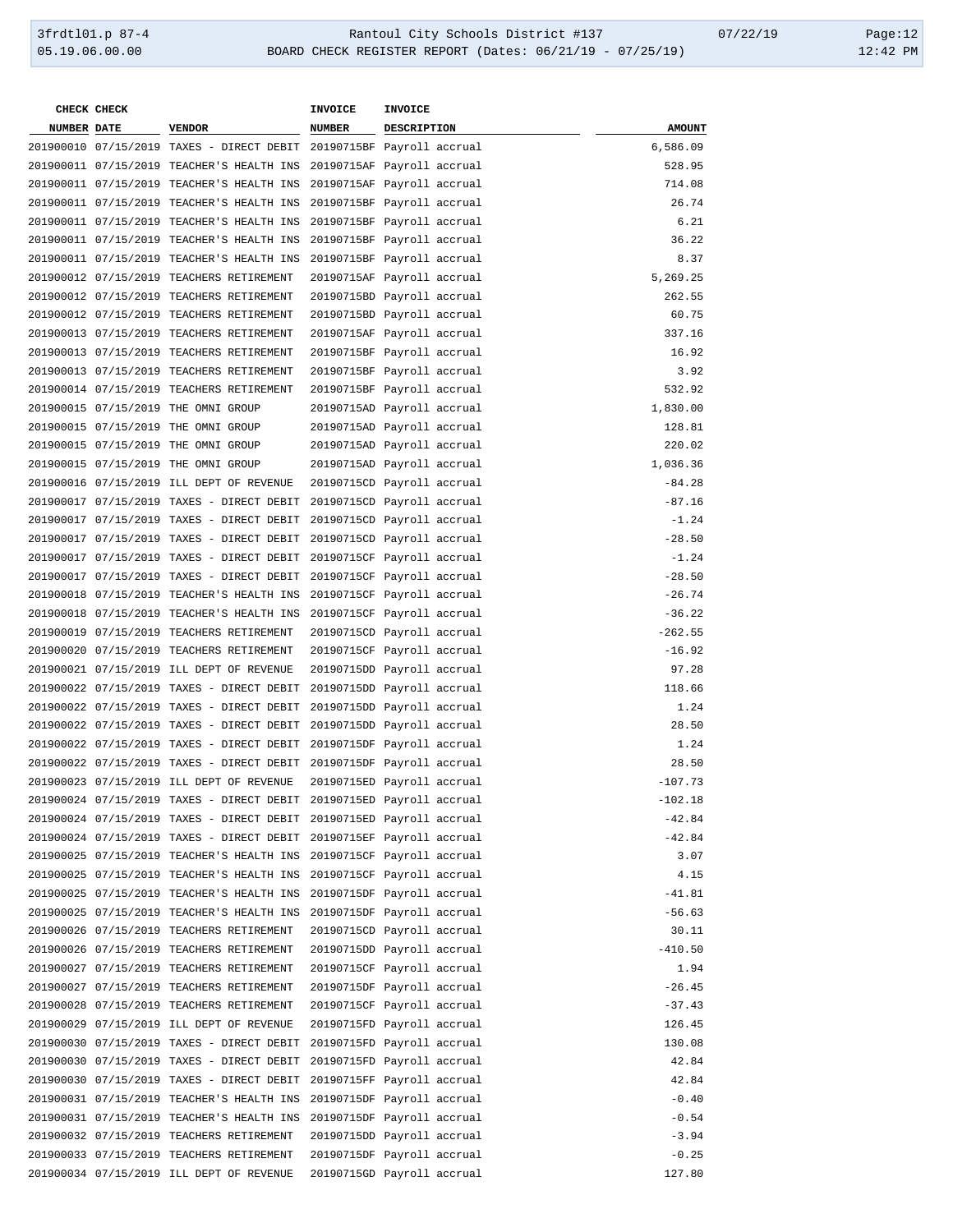| CHECK CHECK        |                                                                      | <b>INVOICE</b>             | <b>INVOICE</b> |               |
|--------------------|----------------------------------------------------------------------|----------------------------|----------------|---------------|
| <b>NUMBER DATE</b> | <b>VENDOR</b>                                                        | <b>NUMBER</b>              | DESCRIPTION    | <b>AMOUNT</b> |
|                    | 201900010 07/15/2019 TAXES - DIRECT DEBIT 20190715BF Payroll accrual |                            |                | 6,586.09      |
|                    | 201900011 07/15/2019 TEACHER'S HEALTH INS 20190715AF Payroll accrual |                            |                | 528.95        |
|                    | 201900011 07/15/2019 TEACHER'S HEALTH INS 20190715AF Payroll accrual |                            |                | 714.08        |
|                    | 201900011 07/15/2019 TEACHER'S HEALTH INS                            | 20190715BF Payroll accrual |                | 26.74         |
|                    | 201900011 07/15/2019 TEACHER'S HEALTH INS                            | 20190715BF Payroll accrual |                | 6.21          |
|                    | 201900011 07/15/2019 TEACHER'S HEALTH INS                            | 20190715BF Payroll accrual |                | 36.22         |
|                    | 201900011 07/15/2019 TEACHER'S HEALTH INS                            | 20190715BF Payroll accrual |                | 8.37          |
|                    | 201900012 07/15/2019 TEACHERS RETIREMENT                             | 20190715AF Payroll accrual |                | 5,269.25      |
|                    | 201900012 07/15/2019 TEACHERS RETIREMENT                             | 20190715BD Payroll accrual |                | 262.55        |
|                    | 201900012 07/15/2019 TEACHERS RETIREMENT                             | 20190715BD Payroll accrual |                | 60.75         |
|                    | 201900013 07/15/2019 TEACHERS RETIREMENT                             | 20190715AF Payroll accrual |                | 337.16        |
|                    | 201900013 07/15/2019 TEACHERS RETIREMENT                             | 20190715BF Payroll accrual |                | 16.92         |
|                    | 201900013 07/15/2019 TEACHERS RETIREMENT                             | 20190715BF Payroll accrual |                | 3.92          |
|                    | 201900014 07/15/2019 TEACHERS RETIREMENT                             | 20190715BF Payroll accrual |                | 532.92        |
|                    | 201900015 07/15/2019 THE OMNI GROUP                                  | 20190715AD Payroll accrual |                | 1,830.00      |
|                    | 201900015 07/15/2019 THE OMNI GROUP                                  | 20190715AD Payroll accrual |                | 128.81        |
|                    | 201900015 07/15/2019 THE OMNI GROUP                                  | 20190715AD Payroll accrual |                | 220.02        |
|                    | 201900015 07/15/2019 THE OMNI GROUP                                  | 20190715AD Payroll accrual |                | 1,036.36      |
|                    | 201900016 07/15/2019 ILL DEPT OF REVENUE                             | 20190715CD Payroll accrual |                | $-84.28$      |
|                    | 201900017 07/15/2019 TAXES - DIRECT DEBIT 20190715CD Payroll accrual |                            |                | $-87.16$      |
|                    | 201900017 07/15/2019 TAXES - DIRECT DEBIT                            | 20190715CD Payroll accrual |                | $-1.24$       |
|                    | 201900017 07/15/2019 TAXES - DIRECT DEBIT                            | 20190715CD Payroll accrual |                | $-28.50$      |
|                    | 201900017 07/15/2019 TAXES - DIRECT DEBIT                            | 20190715CF Payroll accrual |                | $-1.24$       |
|                    | 201900017 07/15/2019 TAXES - DIRECT DEBIT                            | 20190715CF Payroll accrual |                | $-28.50$      |
|                    | 201900018 07/15/2019 TEACHER'S HEALTH INS                            | 20190715CF Payroll accrual |                | $-26.74$      |
|                    | 201900018 07/15/2019 TEACHER'S HEALTH INS 20190715CF Payroll accrual |                            |                | $-36.22$      |
|                    | 201900019 07/15/2019 TEACHERS RETIREMENT                             | 20190715CD Payroll accrual |                | $-262.55$     |
|                    | 201900020 07/15/2019 TEACHERS RETIREMENT                             | 20190715CF Payroll accrual |                | $-16.92$      |
|                    | 201900021 07/15/2019 ILL DEPT OF REVENUE                             | 20190715DD Payroll accrual |                | 97.28         |
|                    | 201900022 07/15/2019 TAXES - DIRECT DEBIT 20190715DD Payroll accrual |                            |                | 118.66        |
|                    | 201900022 07/15/2019 TAXES - DIRECT DEBIT                            | 20190715DD Payroll accrual |                | 1.24          |
|                    | 201900022 07/15/2019 TAXES - DIRECT DEBIT                            | 20190715DD Payroll accrual |                | 28.50         |
|                    | 201900022 07/15/2019 TAXES - DIRECT DEBIT                            | 20190715DF Payroll accrual |                | 1.24          |
|                    | 201900022 07/15/2019 TAXES - DIRECT DEBIT 20190715DF Payroll accrual |                            |                | 28.50         |
|                    | 201900023 07/15/2019 ILL DEPT OF REVENUE                             | 20190715ED Payroll accrual |                | $-107.73$     |
|                    | 201900024 07/15/2019 TAXES - DIRECT DEBIT 20190715ED Payroll accrual |                            |                | $-102.18$     |
|                    | 201900024 07/15/2019 TAXES - DIRECT DEBIT 20190715ED Payroll accrual |                            |                | $-42.84$      |
|                    | 201900024 07/15/2019 TAXES - DIRECT DEBIT 20190715EF Payroll accrual |                            |                | $-42.84$      |
|                    | 201900025 07/15/2019 TEACHER'S HEALTH INS                            | 20190715CF Payroll accrual |                | 3.07          |
|                    | 201900025 07/15/2019 TEACHER'S HEALTH INS                            | 20190715CF Payroll accrual |                | 4.15          |
|                    | 201900025 07/15/2019 TEACHER'S HEALTH INS                            | 20190715DF Payroll accrual |                | $-41.81$      |
|                    | 201900025 07/15/2019 TEACHER'S HEALTH INS                            | 20190715DF Payroll accrual |                | $-56.63$      |
|                    | 201900026 07/15/2019 TEACHERS RETIREMENT                             | 20190715CD Payroll accrual |                | 30.11         |
|                    | 201900026 07/15/2019 TEACHERS RETIREMENT                             | 20190715DD Payroll accrual |                | $-410.50$     |
|                    | 201900027 07/15/2019 TEACHERS RETIREMENT                             | 20190715CF Payroll accrual |                | 1.94          |
|                    | 201900027 07/15/2019 TEACHERS RETIREMENT                             |                            |                | $-26.45$      |
|                    | 201900028 07/15/2019 TEACHERS RETIREMENT                             | 20190715DF Payroll accrual |                | $-37.43$      |
|                    |                                                                      | 20190715CF Payroll accrual |                |               |
|                    | 201900029 07/15/2019 ILL DEPT OF REVENUE                             | 20190715FD Payroll accrual |                | 126.45        |
|                    | 201900030 07/15/2019 TAXES - DIRECT DEBIT                            | 20190715FD Payroll accrual |                | 130.08        |
|                    | 201900030 07/15/2019 TAXES - DIRECT DEBIT                            | 20190715FD Payroll accrual |                | 42.84         |
|                    | 201900030 07/15/2019 TAXES - DIRECT DEBIT                            | 20190715FF Payroll accrual |                | 42.84         |
|                    | 201900031 07/15/2019 TEACHER'S HEALTH INS                            | 20190715DF Payroll accrual |                | $-0.40$       |
|                    | 201900031 07/15/2019 TEACHER'S HEALTH INS                            | 20190715DF Payroll accrual |                | $-0.54$       |
|                    | 201900032 07/15/2019 TEACHERS RETIREMENT                             | 20190715DD Payroll accrual |                | $-3.94$       |
|                    | 201900033 07/15/2019 TEACHERS RETIREMENT                             | 20190715DF Payroll accrual |                | $-0.25$       |
|                    | 201900034 07/15/2019 ILL DEPT OF REVENUE                             | 20190715GD Payroll accrual |                | 127.80        |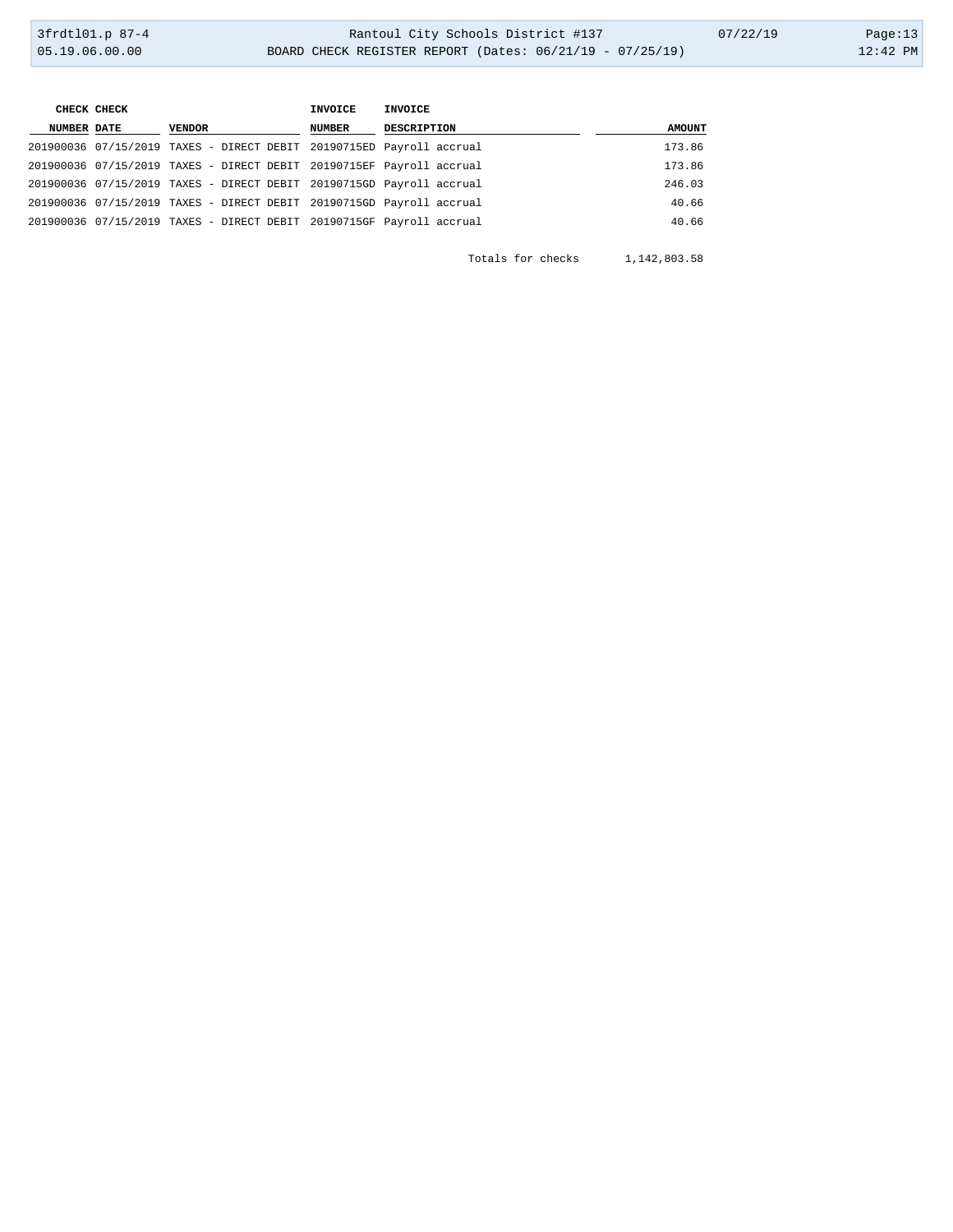| <b>AMOUNT</b> |
|---------------|
| 173.86        |
| 173.86        |
| 246.03        |
| 40.66         |
| 40.66         |
|               |

Totals for checks 1,142,803.58